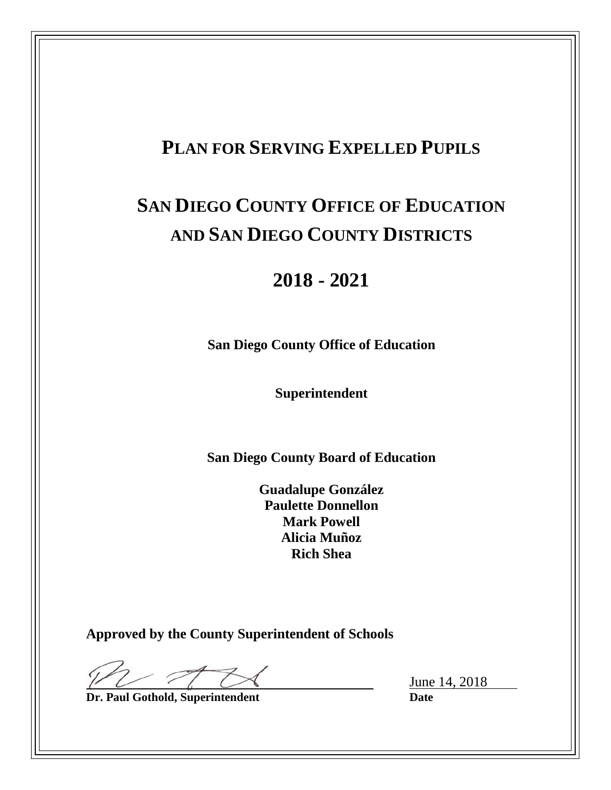# **PLAN FOR SERVING EXPELLED PUPILS**

# **SAN DIEGO COUNTY OFFICE OF EDUCATION AND SAN DIEGO COUNTY DISTRICTS**

# **2018 - 2021**

**San Diego County Office of Education**

**Superintendent**

**San Diego County Board of Education**

**Guadalupe González Paulette Donnellon Mark Powell Alicia Muñoz Rich Shea**

**Approved by the County Superintendent of Schools**

**Dr. Paul Gothold, Superintendent Date** 

June 14, 2018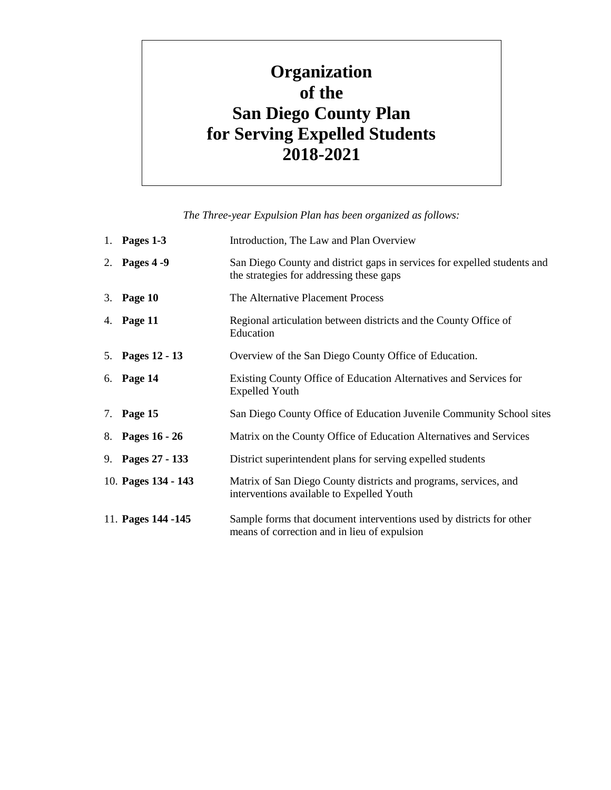# **Organization of the San Diego County Plan for Serving Expelled Students 2018-2021**

*The Three-year Expulsion Plan has been organized as follows:*

| 1. Pages 1-3        | Introduction, The Law and Plan Overview                                                                              |
|---------------------|----------------------------------------------------------------------------------------------------------------------|
| 2. Pages 4 - 9      | San Diego County and district gaps in services for expelled students and<br>the strategies for addressing these gaps |
| 3. Page 10          | The Alternative Placement Process                                                                                    |
| 4. Page 11          | Regional articulation between districts and the County Office of<br>Education                                        |
| 5. Pages 12 - 13    | Overview of the San Diego County Office of Education.                                                                |
| 6. Page 14          | Existing County Office of Education Alternatives and Services for<br><b>Expelled Youth</b>                           |
| 7. Page 15          | San Diego County Office of Education Juvenile Community School sites                                                 |
| 8. Pages 16 - 26    | Matrix on the County Office of Education Alternatives and Services                                                   |
| 9. Pages 27 - 133   | District superintendent plans for serving expelled students                                                          |
| 10. Pages 134 - 143 | Matrix of San Diego County districts and programs, services, and<br>interventions available to Expelled Youth        |
| 11. Pages 144 - 145 | Sample forms that document interventions used by districts for other<br>means of correction and in lieu of expulsion |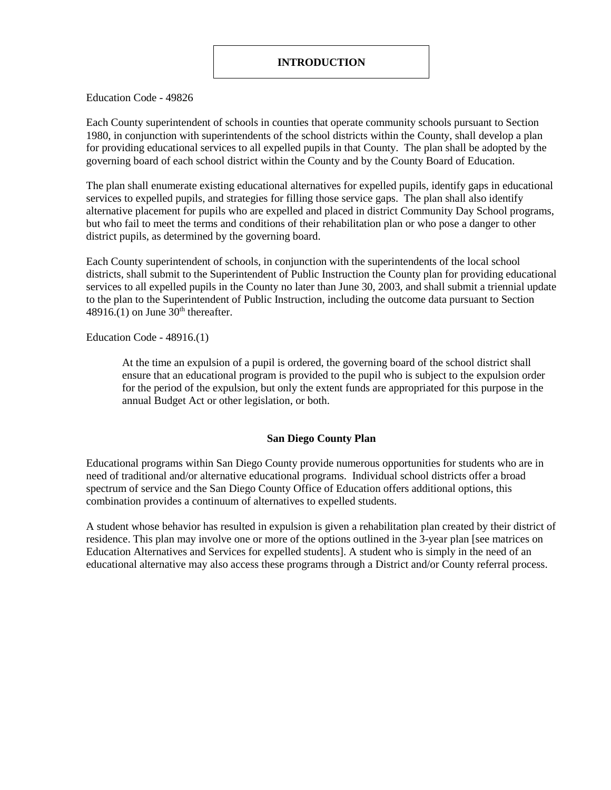Education Code - 49826

Each County superintendent of schools in counties that operate community schools pursuant to Section 1980, in conjunction with superintendents of the school districts within the County, shall develop a plan for providing educational services to all expelled pupils in that County. The plan shall be adopted by the governing board of each school district within the County and by the County Board of Education.

The plan shall enumerate existing educational alternatives for expelled pupils, identify gaps in educational services to expelled pupils, and strategies for filling those service gaps. The plan shall also identify alternative placement for pupils who are expelled and placed in district Community Day School programs, but who fail to meet the terms and conditions of their rehabilitation plan or who pose a danger to other district pupils, as determined by the governing board.

Each County superintendent of schools, in conjunction with the superintendents of the local school districts, shall submit to the Superintendent of Public Instruction the County plan for providing educational services to all expelled pupils in the County no later than June 30, 2003, and shall submit a triennial update to the plan to the Superintendent of Public Instruction, including the outcome data pursuant to Section 48916.(1) on June  $30<sup>th</sup>$  thereafter.

Education Code - 48916.(1)

At the time an expulsion of a pupil is ordered, the governing board of the school district shall ensure that an educational program is provided to the pupil who is subject to the expulsion order for the period of the expulsion, but only the extent funds are appropriated for this purpose in the annual Budget Act or other legislation, or both.

#### **San Diego County Plan**

Educational programs within San Diego County provide numerous opportunities for students who are in need of traditional and/or alternative educational programs. Individual school districts offer a broad spectrum of service and the San Diego County Office of Education offers additional options, this combination provides a continuum of alternatives to expelled students.

A student whose behavior has resulted in expulsion is given a rehabilitation plan created by their district of residence. This plan may involve one or more of the options outlined in the 3-year plan [see matrices on Education Alternatives and Services for expelled students]. A student who is simply in the need of an educational alternative may also access these programs through a District and/or County referral process.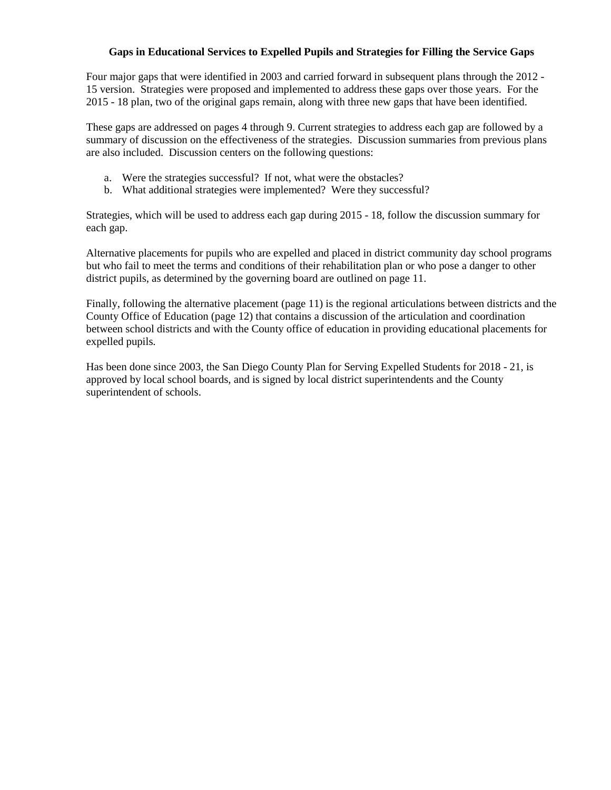#### **Gaps in Educational Services to Expelled Pupils and Strategies for Filling the Service Gaps**

Four major gaps that were identified in 2003 and carried forward in subsequent plans through the 2012 - 15 version. Strategies were proposed and implemented to address these gaps over those years. For the 2015 - 18 plan, two of the original gaps remain, along with three new gaps that have been identified.

These gaps are addressed on pages 4 through 9. Current strategies to address each gap are followed by a summary of discussion on the effectiveness of the strategies. Discussion summaries from previous plans are also included. Discussion centers on the following questions:

- a. Were the strategies successful? If not, what were the obstacles?
- b. What additional strategies were implemented? Were they successful?

Strategies, which will be used to address each gap during 2015 - 18, follow the discussion summary for each gap.

Alternative placements for pupils who are expelled and placed in district community day school programs but who fail to meet the terms and conditions of their rehabilitation plan or who pose a danger to other district pupils, as determined by the governing board are outlined on page 11.

Finally, following the alternative placement (page 11) is the regional articulations between districts and the County Office of Education (page 12) that contains a discussion of the articulation and coordination between school districts and with the County office of education in providing educational placements for expelled pupils.

Has been done since 2003, the San Diego County Plan for Serving Expelled Students for 2018 - 21, is approved by local school boards, and is signed by local district superintendents and the County superintendent of schools.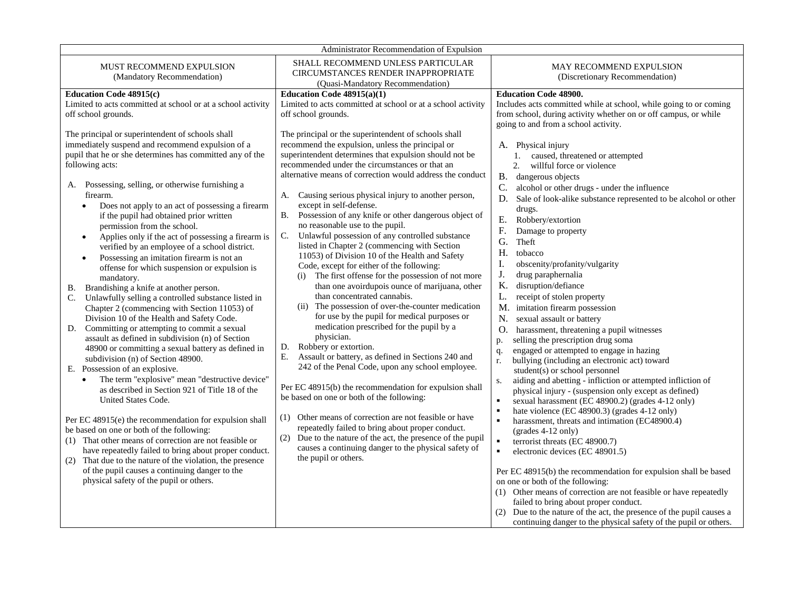|                                                                                                                                                                                                                                                                                                                                                                                                                                                                                                                                                                                                                                                                                                                                                                                                                                                                                                                                                                                                                                                                                                                                                                                                                                                                                                                                                                                                                                                                                                                                                                                                                | Administrator Recommendation of Expulsion                                                                                                                                                                                                                                                                                                                                                                                                                                                                                                                                                                                                                                                                                                                                                                                                                                                                                                                                                                                                                                                                                                                                                                                                                                                                                                                                                                                                                                                                        |                                                                                                                                                                                                                                                                                                                                                                                                                                                                                                                                                                                                                                                                                                                                                                                                                                                                                                                                                                                                                                                                                                                                                                                                                                                                                                                                                                                                                                                                                                                                                                                                   |
|----------------------------------------------------------------------------------------------------------------------------------------------------------------------------------------------------------------------------------------------------------------------------------------------------------------------------------------------------------------------------------------------------------------------------------------------------------------------------------------------------------------------------------------------------------------------------------------------------------------------------------------------------------------------------------------------------------------------------------------------------------------------------------------------------------------------------------------------------------------------------------------------------------------------------------------------------------------------------------------------------------------------------------------------------------------------------------------------------------------------------------------------------------------------------------------------------------------------------------------------------------------------------------------------------------------------------------------------------------------------------------------------------------------------------------------------------------------------------------------------------------------------------------------------------------------------------------------------------------------|------------------------------------------------------------------------------------------------------------------------------------------------------------------------------------------------------------------------------------------------------------------------------------------------------------------------------------------------------------------------------------------------------------------------------------------------------------------------------------------------------------------------------------------------------------------------------------------------------------------------------------------------------------------------------------------------------------------------------------------------------------------------------------------------------------------------------------------------------------------------------------------------------------------------------------------------------------------------------------------------------------------------------------------------------------------------------------------------------------------------------------------------------------------------------------------------------------------------------------------------------------------------------------------------------------------------------------------------------------------------------------------------------------------------------------------------------------------------------------------------------------------|---------------------------------------------------------------------------------------------------------------------------------------------------------------------------------------------------------------------------------------------------------------------------------------------------------------------------------------------------------------------------------------------------------------------------------------------------------------------------------------------------------------------------------------------------------------------------------------------------------------------------------------------------------------------------------------------------------------------------------------------------------------------------------------------------------------------------------------------------------------------------------------------------------------------------------------------------------------------------------------------------------------------------------------------------------------------------------------------------------------------------------------------------------------------------------------------------------------------------------------------------------------------------------------------------------------------------------------------------------------------------------------------------------------------------------------------------------------------------------------------------------------------------------------------------------------------------------------------------|
| MUST RECOMMEND EXPULSION<br>(Mandatory Recommendation)                                                                                                                                                                                                                                                                                                                                                                                                                                                                                                                                                                                                                                                                                                                                                                                                                                                                                                                                                                                                                                                                                                                                                                                                                                                                                                                                                                                                                                                                                                                                                         | SHALL RECOMMEND UNLESS PARTICULAR<br>CIRCUMSTANCES RENDER INAPPROPRIATE<br>(Quasi-Mandatory Recommendation)                                                                                                                                                                                                                                                                                                                                                                                                                                                                                                                                                                                                                                                                                                                                                                                                                                                                                                                                                                                                                                                                                                                                                                                                                                                                                                                                                                                                      | MAY RECOMMEND EXPULSION<br>(Discretionary Recommendation)                                                                                                                                                                                                                                                                                                                                                                                                                                                                                                                                                                                                                                                                                                                                                                                                                                                                                                                                                                                                                                                                                                                                                                                                                                                                                                                                                                                                                                                                                                                                         |
| <b>Education Code 48915(c)</b>                                                                                                                                                                                                                                                                                                                                                                                                                                                                                                                                                                                                                                                                                                                                                                                                                                                                                                                                                                                                                                                                                                                                                                                                                                                                                                                                                                                                                                                                                                                                                                                 | Education Code $48915(a)(1)$                                                                                                                                                                                                                                                                                                                                                                                                                                                                                                                                                                                                                                                                                                                                                                                                                                                                                                                                                                                                                                                                                                                                                                                                                                                                                                                                                                                                                                                                                     | <b>Education Code 48900.</b>                                                                                                                                                                                                                                                                                                                                                                                                                                                                                                                                                                                                                                                                                                                                                                                                                                                                                                                                                                                                                                                                                                                                                                                                                                                                                                                                                                                                                                                                                                                                                                      |
| Limited to acts committed at school or at a school activity<br>off school grounds.                                                                                                                                                                                                                                                                                                                                                                                                                                                                                                                                                                                                                                                                                                                                                                                                                                                                                                                                                                                                                                                                                                                                                                                                                                                                                                                                                                                                                                                                                                                             | Limited to acts committed at school or at a school activity<br>off school grounds.                                                                                                                                                                                                                                                                                                                                                                                                                                                                                                                                                                                                                                                                                                                                                                                                                                                                                                                                                                                                                                                                                                                                                                                                                                                                                                                                                                                                                               | Includes acts committed while at school, while going to or coming<br>from school, during activity whether on or off campus, or while                                                                                                                                                                                                                                                                                                                                                                                                                                                                                                                                                                                                                                                                                                                                                                                                                                                                                                                                                                                                                                                                                                                                                                                                                                                                                                                                                                                                                                                              |
| The principal or superintendent of schools shall<br>immediately suspend and recommend expulsion of a<br>pupil that he or she determines has committed any of the<br>following acts:<br>Possessing, selling, or otherwise furnishing a<br>А.<br>firearm.<br>Does not apply to an act of possessing a firearm<br>$\bullet$<br>if the pupil had obtained prior written<br>permission from the school.<br>Applies only if the act of possessing a firearm is<br>$\bullet$<br>verified by an employee of a school district.<br>Possessing an imitation firearm is not an<br>$\bullet$<br>offense for which suspension or expulsion is<br>mandatory.<br>Brandishing a knife at another person.<br>В.<br>Unlawfully selling a controlled substance listed in<br>C.<br>Chapter 2 (commencing with Section 11053) of<br>Division 10 of the Health and Safety Code.<br>Committing or attempting to commit a sexual<br>D.<br>assault as defined in subdivision (n) of Section<br>48900 or committing a sexual battery as defined in<br>subdivision (n) of Section 48900.<br>E. Possession of an explosive.<br>The term "explosive" mean "destructive device"<br>as described in Section 921 of Title 18 of the<br>United States Code.<br>Per EC 48915(e) the recommendation for expulsion shall<br>be based on one or both of the following:<br>(1) That other means of correction are not feasible or<br>have repeatedly failed to bring about proper conduct.<br>(2) That due to the nature of the violation, the presence<br>of the pupil causes a continuing danger to the<br>physical safety of the pupil or others. | The principal or the superintendent of schools shall<br>recommend the expulsion, unless the principal or<br>superintendent determines that expulsion should not be<br>recommended under the circumstances or that an<br>alternative means of correction would address the conduct<br>Causing serious physical injury to another person,<br>A.<br>except in self-defense.<br>B. Possession of any knife or other dangerous object of<br>no reasonable use to the pupil.<br>C.<br>Unlawful possession of any controlled substance<br>listed in Chapter 2 (commencing with Section<br>11053) of Division 10 of the Health and Safety<br>Code, except for either of the following:<br>The first offense for the possession of not more<br>(i)<br>than one avoirdupois ounce of marijuana, other<br>than concentrated cannabis.<br>(ii) The possession of over-the-counter medication<br>for use by the pupil for medical purposes or<br>medication prescribed for the pupil by a<br>physician.<br>Robbery or extortion.<br>D.<br>Assault or battery, as defined in Sections 240 and<br>Е.<br>242 of the Penal Code, upon any school employee.<br>Per EC 48915(b) the recommendation for expulsion shall<br>be based on one or both of the following:<br>(1) Other means of correction are not feasible or have<br>repeatedly failed to bring about proper conduct.<br>Due to the nature of the act, the presence of the pupil<br>(2)<br>causes a continuing danger to the physical safety of<br>the pupil or others. | going to and from a school activity.<br>A. Physical injury<br>caused, threatened or attempted<br>1.<br>2.<br>willful force or violence<br>B. dangerous objects<br>C.<br>alcohol or other drugs - under the influence<br>Sale of look-alike substance represented to be alcohol or other<br>D.<br>drugs.<br>Ε.<br>Robbery/extortion<br>${\bf F}.$<br>Damage to property<br>G.<br>Theft<br>H.<br>tobacco<br>I.<br>obscenity/profanity/vulgarity<br>J.<br>drug paraphernalia<br>K.<br>disruption/defiance<br>L.<br>receipt of stolen property<br>M.<br>imitation firearm possession<br>N.<br>sexual assault or battery<br>O.<br>harassment, threatening a pupil witnesses<br>selling the prescription drug soma<br>p.<br>engaged or attempted to engage in hazing<br>q.<br>bullying (including an electronic act) toward<br>r.<br>student(s) or school personnel<br>aiding and abetting - infliction or attempted infliction of<br>S.<br>physical injury - (suspension only except as defined)<br>sexual harassment (EC 48900.2) (grades 4-12 only)<br>$\blacksquare$<br>hate violence (EC 48900.3) (grades 4-12 only)<br>harassment, threats and intimation (EC48900.4)<br>(grades 4-12 only)<br>$\blacksquare$<br>terrorist threats (EC 48900.7)<br>$\blacksquare$<br>electronic devices (EC 48901.5)<br>Per EC 48915(b) the recommendation for expulsion shall be based<br>on one or both of the following:<br>(1) Other means of correction are not feasible or have repeatedly<br>failed to bring about proper conduct.<br>(2) Due to the nature of the act, the presence of the pupil causes a |
|                                                                                                                                                                                                                                                                                                                                                                                                                                                                                                                                                                                                                                                                                                                                                                                                                                                                                                                                                                                                                                                                                                                                                                                                                                                                                                                                                                                                                                                                                                                                                                                                                |                                                                                                                                                                                                                                                                                                                                                                                                                                                                                                                                                                                                                                                                                                                                                                                                                                                                                                                                                                                                                                                                                                                                                                                                                                                                                                                                                                                                                                                                                                                  | continuing danger to the physical safety of the pupil or others.                                                                                                                                                                                                                                                                                                                                                                                                                                                                                                                                                                                                                                                                                                                                                                                                                                                                                                                                                                                                                                                                                                                                                                                                                                                                                                                                                                                                                                                                                                                                  |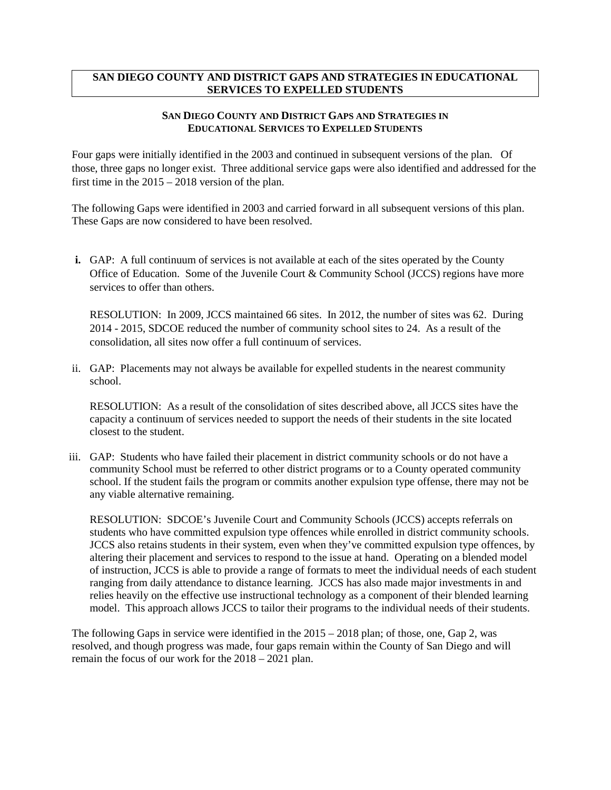#### **SAN DIEGO COUNTY AND DISTRICT GAPS AND STRATEGIES IN EDUCATIONAL SERVICES TO EXPELLED STUDENTS**

#### **SAN DIEGO COUNTY AND DISTRICT GAPS AND STRATEGIES IN EDUCATIONAL SERVICES TO EXPELLED STUDENTS**

Four gaps were initially identified in the 2003 and continued in subsequent versions of the plan. Of those, three gaps no longer exist. Three additional service gaps were also identified and addressed for the first time in the 2015 – 2018 version of the plan.

The following Gaps were identified in 2003 and carried forward in all subsequent versions of this plan. These Gaps are now considered to have been resolved.

**i.** GAP: A full continuum of services is not available at each of the sites operated by the County Office of Education. Some of the Juvenile Court & Community School (JCCS) regions have more services to offer than others.

RESOLUTION: In 2009, JCCS maintained 66 sites. In 2012, the number of sites was 62. During 2014 - 2015, SDCOE reduced the number of community school sites to 24. As a result of the consolidation, all sites now offer a full continuum of services.

ii. GAP: Placements may not always be available for expelled students in the nearest community school.

RESOLUTION: As a result of the consolidation of sites described above, all JCCS sites have the capacity a continuum of services needed to support the needs of their students in the site located closest to the student.

iii. GAP: Students who have failed their placement in district community schools or do not have a community School must be referred to other district programs or to a County operated community school. If the student fails the program or commits another expulsion type offense, there may not be any viable alternative remaining.

RESOLUTION: SDCOE's Juvenile Court and Community Schools (JCCS) accepts referrals on students who have committed expulsion type offences while enrolled in district community schools. JCCS also retains students in their system, even when they've committed expulsion type offences, by altering their placement and services to respond to the issue at hand. Operating on a blended model of instruction, JCCS is able to provide a range of formats to meet the individual needs of each student ranging from daily attendance to distance learning. JCCS has also made major investments in and relies heavily on the effective use instructional technology as a component of their blended learning model. This approach allows JCCS to tailor their programs to the individual needs of their students.

The following Gaps in service were identified in the 2015 – 2018 plan; of those, one, Gap 2, was resolved, and though progress was made, four gaps remain within the County of San Diego and will remain the focus of our work for the 2018 – 2021 plan.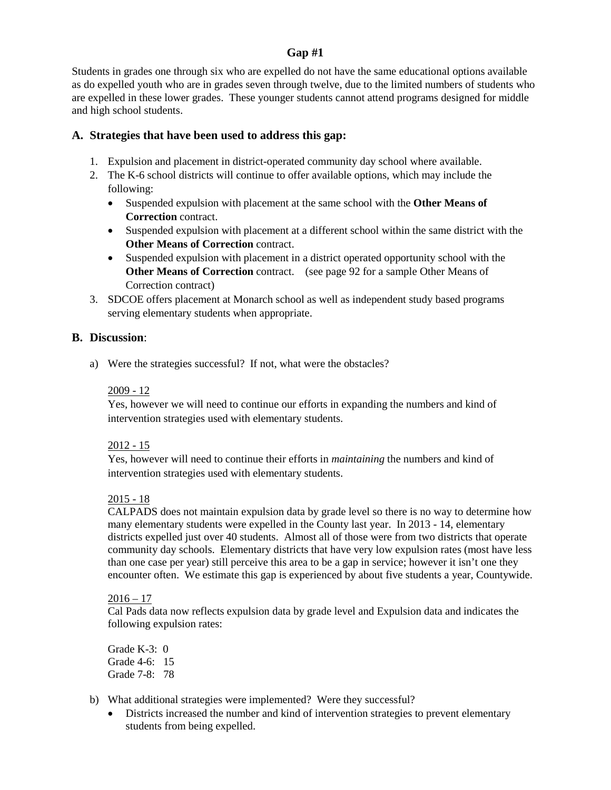#### **Gap #1**

Students in grades one through six who are expelled do not have the same educational options available as do expelled youth who are in grades seven through twelve, due to the limited numbers of students who are expelled in these lower grades. These younger students cannot attend programs designed for middle and high school students.

#### **A. Strategies that have been used to address this gap:**

- 1. Expulsion and placement in district-operated community day school where available.
- 2. The K-6 school districts will continue to offer available options, which may include the following:
	- Suspended expulsion with placement at the same school with the **Other Means of Correction** contract.
	- Suspended expulsion with placement at a different school within the same district with the **Other Means of Correction** contract.
	- Suspended expulsion with placement in a district operated opportunity school with the **Other Means of Correction** contract. (see page 92 for a sample Other Means of Correction contract)
- 3. SDCOE offers placement at Monarch school as well as independent study based programs serving elementary students when appropriate.

#### **B. Discussion**:

a) Were the strategies successful? If not, what were the obstacles?

#### 2009 - 12

Yes, however we will need to continue our efforts in expanding the numbers and kind of intervention strategies used with elementary students.

#### 2012 - 15

Yes, however will need to continue their efforts in *maintaining* the numbers and kind of intervention strategies used with elementary students.

#### 2015 - 18

CALPADS does not maintain expulsion data by grade level so there is no way to determine how many elementary students were expelled in the County last year. In 2013 - 14, elementary districts expelled just over 40 students. Almost all of those were from two districts that operate community day schools. Elementary districts that have very low expulsion rates (most have less than one case per year) still perceive this area to be a gap in service; however it isn't one they encounter often. We estimate this gap is experienced by about five students a year, Countywide.

#### $2016 - 17$

Cal Pads data now reflects expulsion data by grade level and Expulsion data and indicates the following expulsion rates:

Grade K-3: 0 Grade 4-6: 15 Grade 7-8: 78

- b) What additional strategies were implemented? Were they successful?
	- Districts increased the number and kind of intervention strategies to prevent elementary students from being expelled.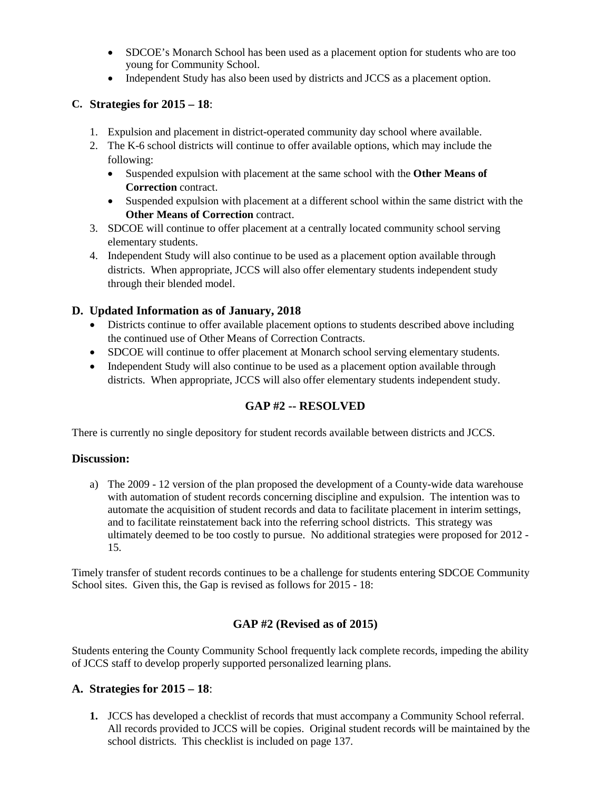- SDCOE's Monarch School has been used as a placement option for students who are too young for Community School.
- Independent Study has also been used by districts and JCCS as a placement option.

#### **C. Strategies for 2015 – 18**:

- 1. Expulsion and placement in district-operated community day school where available.
- 2. The K-6 school districts will continue to offer available options, which may include the following:
	- Suspended expulsion with placement at the same school with the **Other Means of Correction** contract.
	- Suspended expulsion with placement at a different school within the same district with the **Other Means of Correction** contract.
- 3. SDCOE will continue to offer placement at a centrally located community school serving elementary students.
- 4. Independent Study will also continue to be used as a placement option available through districts. When appropriate, JCCS will also offer elementary students independent study through their blended model.

#### **D. Updated Information as of January, 2018**

- Districts continue to offer available placement options to students described above including the continued use of Other Means of Correction Contracts.
- SDCOE will continue to offer placement at Monarch school serving elementary students.
- Independent Study will also continue to be used as a placement option available through districts. When appropriate, JCCS will also offer elementary students independent study.

## **GAP #2 -- RESOLVED**

There is currently no single depository for student records available between districts and JCCS.

#### **Discussion:**

a) The 2009 - 12 version of the plan proposed the development of a County-wide data warehouse with automation of student records concerning discipline and expulsion. The intention was to automate the acquisition of student records and data to facilitate placement in interim settings, and to facilitate reinstatement back into the referring school districts. This strategy was ultimately deemed to be too costly to pursue. No additional strategies were proposed for 2012 - 15.

Timely transfer of student records continues to be a challenge for students entering SDCOE Community School sites. Given this, the Gap is revised as follows for 2015 - 18:

#### **GAP #2 (Revised as of 2015)**

Students entering the County Community School frequently lack complete records, impeding the ability of JCCS staff to develop properly supported personalized learning plans.

#### **A. Strategies for 2015 – 18**:

**1.** JCCS has developed a checklist of records that must accompany a Community School referral. All records provided to JCCS will be copies. Original student records will be maintained by the school districts. This checklist is included on page 137.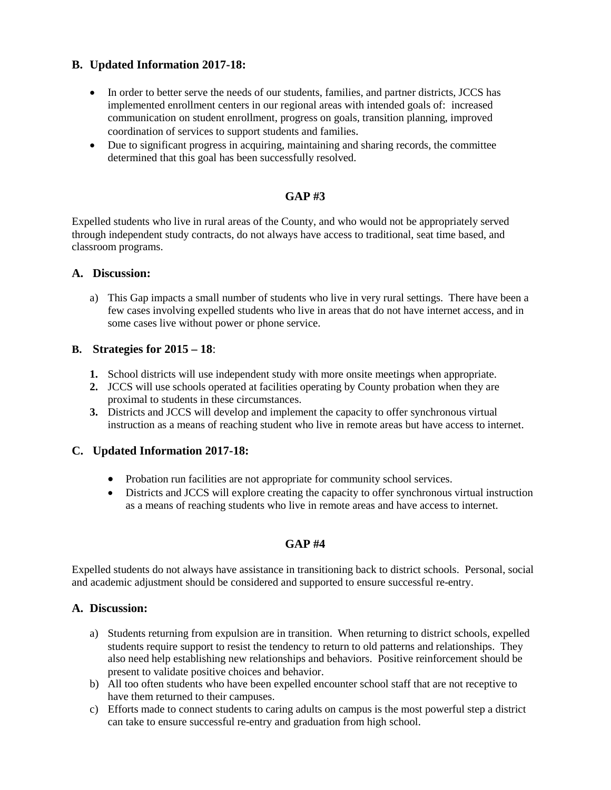#### **B. Updated Information 2017-18:**

- In order to better serve the needs of our students, families, and partner districts, JCCS has implemented enrollment centers in our regional areas with intended goals of: increased communication on student enrollment, progress on goals, transition planning, improved coordination of services to support students and families.
- Due to significant progress in acquiring, maintaining and sharing records, the committee determined that this goal has been successfully resolved.

#### **GAP #3**

Expelled students who live in rural areas of the County, and who would not be appropriately served through independent study contracts, do not always have access to traditional, seat time based, and classroom programs.

#### **A. Discussion:**

a) This Gap impacts a small number of students who live in very rural settings. There have been a few cases involving expelled students who live in areas that do not have internet access, and in some cases live without power or phone service.

#### **B. Strategies for 2015 – 18**:

- **1.** School districts will use independent study with more onsite meetings when appropriate.
- **2.** JCCS will use schools operated at facilities operating by County probation when they are proximal to students in these circumstances.
- **3.** Districts and JCCS will develop and implement the capacity to offer synchronous virtual instruction as a means of reaching student who live in remote areas but have access to internet.

#### **C. Updated Information 2017-18:**

- Probation run facilities are not appropriate for community school services.
- Districts and JCCS will explore creating the capacity to offer synchronous virtual instruction as a means of reaching students who live in remote areas and have access to internet.

#### **GAP #4**

Expelled students do not always have assistance in transitioning back to district schools. Personal, social and academic adjustment should be considered and supported to ensure successful re-entry.

#### **A. Discussion:**

- a) Students returning from expulsion are in transition. When returning to district schools, expelled students require support to resist the tendency to return to old patterns and relationships. They also need help establishing new relationships and behaviors. Positive reinforcement should be present to validate positive choices and behavior.
- b) All too often students who have been expelled encounter school staff that are not receptive to have them returned to their campuses.
- c) Efforts made to connect students to caring adults on campus is the most powerful step a district can take to ensure successful re-entry and graduation from high school.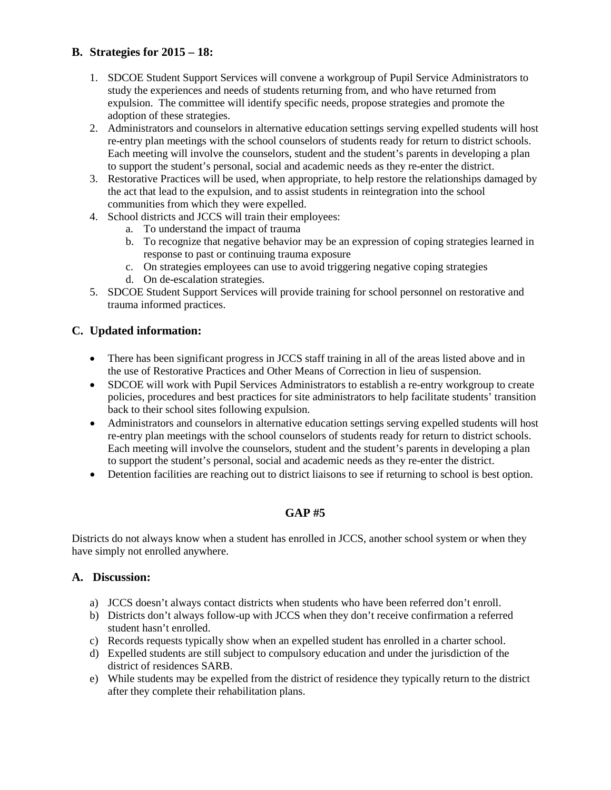#### **B. Strategies for 2015 – 18:**

- 1. SDCOE Student Support Services will convene a workgroup of Pupil Service Administrators to study the experiences and needs of students returning from, and who have returned from expulsion. The committee will identify specific needs, propose strategies and promote the adoption of these strategies.
- 2. Administrators and counselors in alternative education settings serving expelled students will host re-entry plan meetings with the school counselors of students ready for return to district schools. Each meeting will involve the counselors, student and the student's parents in developing a plan to support the student's personal, social and academic needs as they re-enter the district.
- 3. Restorative Practices will be used, when appropriate, to help restore the relationships damaged by the act that lead to the expulsion, and to assist students in reintegration into the school communities from which they were expelled.
- 4. School districts and JCCS will train their employees:
	- a. To understand the impact of trauma
	- b. To recognize that negative behavior may be an expression of coping strategies learned in response to past or continuing trauma exposure
	- c. On strategies employees can use to avoid triggering negative coping strategies
	- d. On de-escalation strategies.
- 5. SDCOE Student Support Services will provide training for school personnel on restorative and trauma informed practices.

#### **C. Updated information:**

- There has been significant progress in JCCS staff training in all of the areas listed above and in the use of Restorative Practices and Other Means of Correction in lieu of suspension.
- SDCOE will work with Pupil Services Administrators to establish a re-entry workgroup to create policies, procedures and best practices for site administrators to help facilitate students' transition back to their school sites following expulsion.
- Administrators and counselors in alternative education settings serving expelled students will host re-entry plan meetings with the school counselors of students ready for return to district schools. Each meeting will involve the counselors, student and the student's parents in developing a plan to support the student's personal, social and academic needs as they re-enter the district.
- Detention facilities are reaching out to district liaisons to see if returning to school is best option.

## **GAP #5**

Districts do not always know when a student has enrolled in JCCS, another school system or when they have simply not enrolled anywhere.

#### **A. Discussion:**

- a) JCCS doesn't always contact districts when students who have been referred don't enroll.
- b) Districts don't always follow-up with JCCS when they don't receive confirmation a referred student hasn't enrolled.
- c) Records requests typically show when an expelled student has enrolled in a charter school.
- d) Expelled students are still subject to compulsory education and under the jurisdiction of the district of residences SARB.
- e) While students may be expelled from the district of residence they typically return to the district after they complete their rehabilitation plans.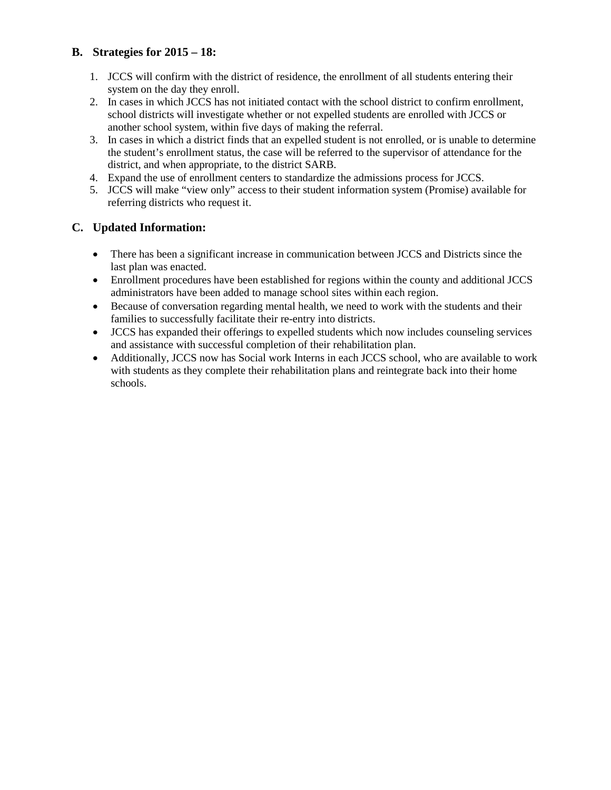#### **B. Strategies for 2015 – 18:**

- 1. JCCS will confirm with the district of residence, the enrollment of all students entering their system on the day they enroll.
- 2. In cases in which JCCS has not initiated contact with the school district to confirm enrollment, school districts will investigate whether or not expelled students are enrolled with JCCS or another school system, within five days of making the referral.
- 3. In cases in which a district finds that an expelled student is not enrolled, or is unable to determine the student's enrollment status, the case will be referred to the supervisor of attendance for the district, and when appropriate, to the district SARB.
- 4. Expand the use of enrollment centers to standardize the admissions process for JCCS.
- 5. JCCS will make "view only" access to their student information system (Promise) available for referring districts who request it.

#### **C. Updated Information:**

- There has been a significant increase in communication between JCCS and Districts since the last plan was enacted.
- Enrollment procedures have been established for regions within the county and additional JCCS administrators have been added to manage school sites within each region.
- Because of conversation regarding mental health, we need to work with the students and their families to successfully facilitate their re-entry into districts.
- JCCS has expanded their offerings to expelled students which now includes counseling services and assistance with successful completion of their rehabilitation plan.
- Additionally, JCCS now has Social work Interns in each JCCS school, who are available to work with students as they complete their rehabilitation plans and reintegrate back into their home schools.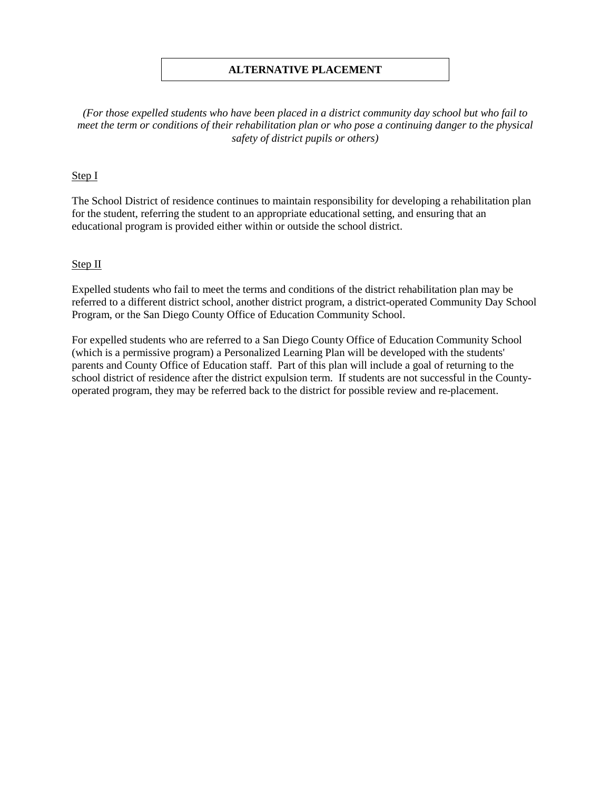#### **ALTERNATIVE PLACEMENT**

*(For those expelled students who have been placed in a district community day school but who fail to meet the term or conditions of their rehabilitation plan or who pose a continuing danger to the physical safety of district pupils or others)*

#### Step I

The School District of residence continues to maintain responsibility for developing a rehabilitation plan for the student, referring the student to an appropriate educational setting, and ensuring that an educational program is provided either within or outside the school district.

#### Step II

Expelled students who fail to meet the terms and conditions of the district rehabilitation plan may be referred to a different district school, another district program, a district-operated Community Day School Program, or the San Diego County Office of Education Community School.

For expelled students who are referred to a San Diego County Office of Education Community School (which is a permissive program) a Personalized Learning Plan will be developed with the students' parents and County Office of Education staff. Part of this plan will include a goal of returning to the school district of residence after the district expulsion term. If students are not successful in the Countyoperated program, they may be referred back to the district for possible review and re-placement.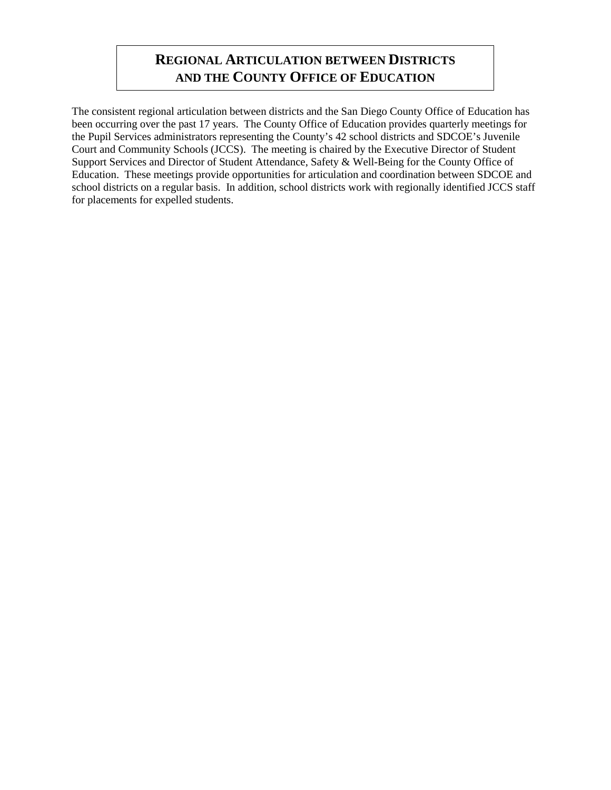## **REGIONAL ARTICULATION BETWEEN DISTRICTS AND THE COUNTY OFFICE OF EDUCATION**

The consistent regional articulation between districts and the San Diego County Office of Education has been occurring over the past 17 years. The County Office of Education provides quarterly meetings for the Pupil Services administrators representing the County's 42 school districts and SDCOE's Juvenile Court and Community Schools (JCCS). The meeting is chaired by the Executive Director of Student Support Services and Director of Student Attendance, Safety & Well-Being for the County Office of Education. These meetings provide opportunities for articulation and coordination between SDCOE and school districts on a regular basis. In addition, school districts work with regionally identified JCCS staff for placements for expelled students.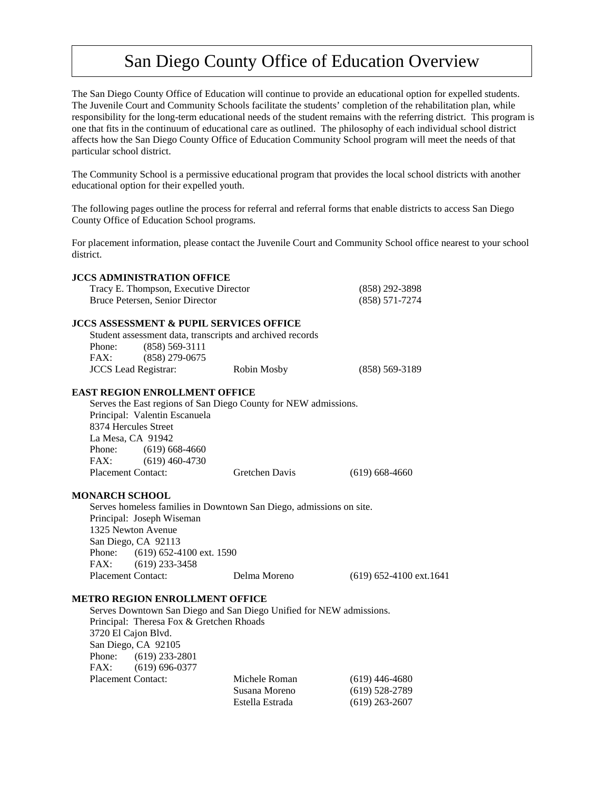## San Diego County Office of Education Overview

The San Diego County Office of Education will continue to provide an educational option for expelled students. The Juvenile Court and Community Schools facilitate the students' completion of the rehabilitation plan, while responsibility for the long-term educational needs of the student remains with the referring district. This program is one that fits in the continuum of educational care as outlined. The philosophy of each individual school district affects how the San Diego County Office of Education Community School program will meet the needs of that particular school district.

The Community School is a permissive educational program that provides the local school districts with another educational option for their expelled youth.

The following pages outline the process for referral and referral forms that enable districts to access San Diego County Office of Education School programs.

For placement information, please contact the Juvenile Court and Community School office nearest to your school district.

#### **JCCS ADMINISTRATION OFFICE** Tracy E. Thompson, Executive Director (858) 292-3898 Bruce Petersen, Senior Director (858) 571-7274 **JCCS ASSESSMENT & PUPIL SERVICES OFFICE** Student assessment data, transcripts and archived records Phone: (858) 569-3111 FAX: (858) 279-0675 JCCS Lead Registrar: Robin Mosby (858) 569-3189 **EAST REGION ENROLLMENT OFFICE** Serves the East regions of San Diego County for NEW admissions. Principal: Valentin Escanuela 8374 Hercules Street La Mesa, CA 91942 Phone: (619) 668-4660

**MONARCH SCHOOL**

FAX: (619) 460-4730

Serves homeless families in Downtown San Diego, admissions on site. Principal: Joseph Wiseman 1325 Newton Avenue San Diego, CA 92113 Phone: (619) 652-4100 ext. 1590 FAX: (619) 233-3458 Placement Contact: Delma Moreno (619) 652-4100 ext.1641

Placement Contact: Gretchen Davis (619) 668-4660

#### **METRO REGION ENROLLMENT OFFICE**

Serves Downtown San Diego and San Diego Unified for NEW admissions. Principal: Theresa Fox & Gretchen Rhoads 3720 El Cajon Blvd. San Diego, CA 92105 Phone: (619) 233-2801 FAX: (619) 696-0377 Placement Contact: Michele Roman (619) 446-4680<br>Susana Moreno (619) 528-2789 (619) 528-2789 Estella Estrada (619) 263-2607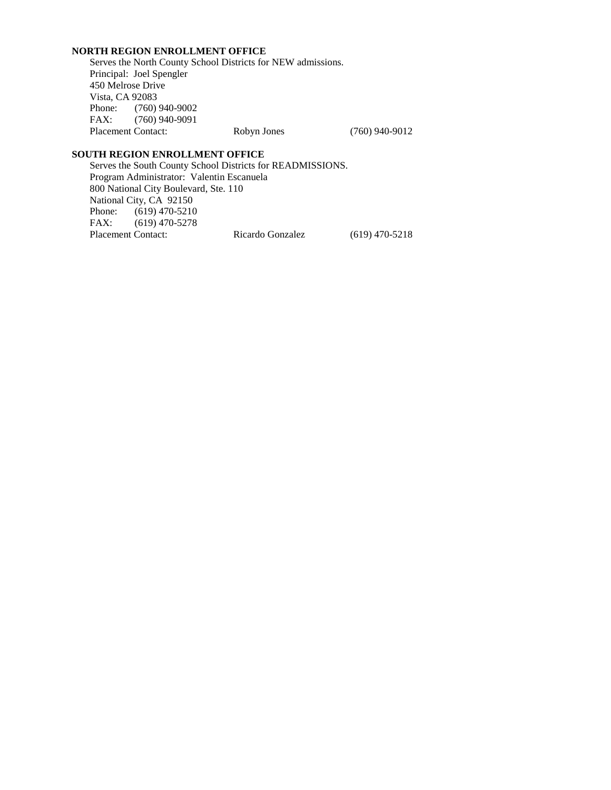#### **NORTH REGION ENROLLMENT OFFICE**

Serves the North County School Districts for NEW admissions. Principal: Joel Spengler 450 Melrose Drive Vista, CA 92083 Phone: (760) 940-9002<br>FAX: (760) 940-9091 (760) 940-9091 Placement Contact: Robyn Jones (760) 940-9012

#### **SOUTH REGION ENROLLMENT OFFICE**

Serves the South County School Districts for READMISSIONS. Program Administrator: Valentin Escanuela 800 National City Boulevard, Ste. 110 National City, CA 92150 Phone: (619) 470-5210<br>FAX: (619) 470-5278  $(619)$  470-5278 Placement Contact: Ricardo Gonzalez (619) 470-5218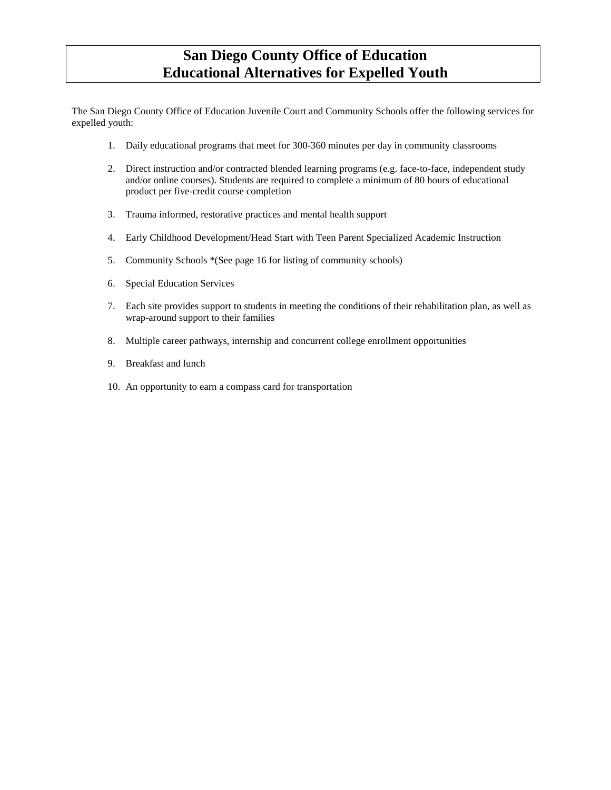## **San Diego County Office of Education Educational Alternatives for Expelled Youth**

The San Diego County Office of Education Juvenile Court and Community Schools offer the following services for expelled youth:

- 1. Daily educational programs that meet for 300-360 minutes per day in community classrooms
- 2. Direct instruction and/or contracted blended learning programs (e.g. face-to-face, independent study and/or online courses). Students are required to complete a minimum of 80 hours of educational product per five-credit course completion
- 3. Trauma informed, restorative practices and mental health support
- 4. Early Childhood Development/Head Start with Teen Parent Specialized Academic Instruction
- 5. Community Schools \*(See page 16 for listing of community schools)
- 6. Special Education Services
- 7. Each site provides support to students in meeting the conditions of their rehabilitation plan, as well as wrap-around support to their families
- 8. Multiple career pathways, internship and concurrent college enrollment opportunities
- 9. Breakfast and lunch
- 10. An opportunity to earn a compass card for transportation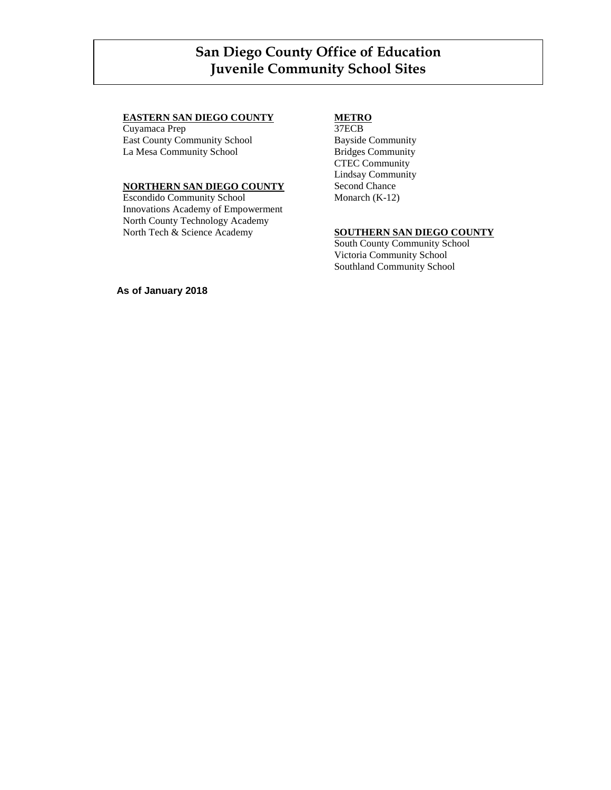## San Diego County Office of Education **San Diego County Office of Education** Juvenile Community School Sites **Juvenile Community School Sites**

#### **EASTERN SAN DIEGO COUNTY**

Cuyamaca Prep East County Community School La Mesa Community School

#### **NORTHERN SAN DIEGO COUNTY**

Escondido Community School Innovations Academy of Empowerment North County Technology Academy North Tech & Science Academy

#### **METRO**

37ECB Bayside Community Bridges Community CTEC Community Lindsay Community Second Chance Monarch (K-12)

#### **SOUTHERN SAN DIEGO COUNTY**

South County Community School Victoria Community School Southland Community School

**As of January 2018**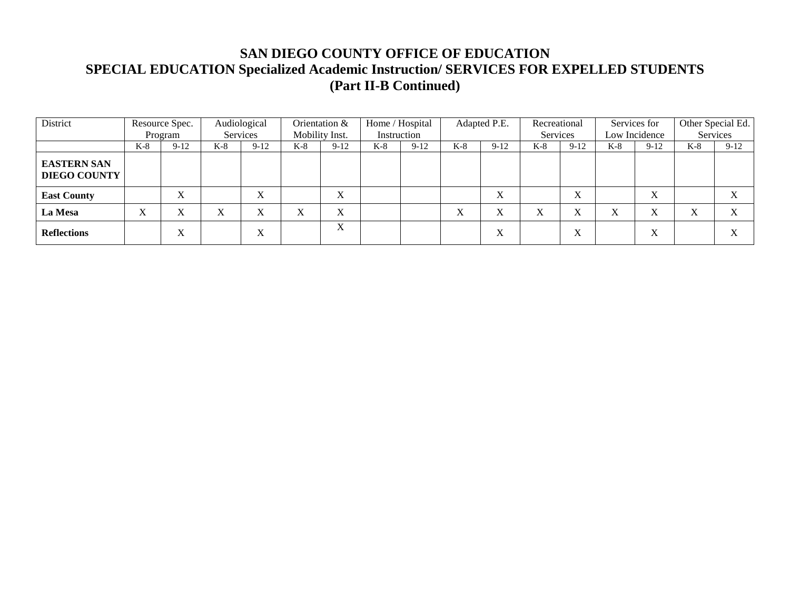| District                                  |         | Resource Spec. |                           | Audiological |       | Orientation &             |       | Home / Hospital |                           | Adapted P.E. | Recreational      |                                      |       | Services for      |                   | Other Special Ed. |
|-------------------------------------------|---------|----------------|---------------------------|--------------|-------|---------------------------|-------|-----------------|---------------------------|--------------|-------------------|--------------------------------------|-------|-------------------|-------------------|-------------------|
|                                           |         | Program        |                           | Services     |       | Mobility Inst.            |       | Instruction     |                           |              | Services          |                                      |       | Low Incidence     |                   | Services          |
|                                           | K-8     | $9-12$         | $K-8$                     | $9-12$       | $K-8$ | $9-12$                    | $K-8$ | $9-12$          | $K-8$                     | $9-12$       | $K-8$             | $9-12$                               | $K-8$ | $9-12$            | $K-8$             | $9-12$            |
| <b>EASTERN SAN</b><br><b>DIEGO COUNTY</b> |         |                |                           |              |       |                           |       |                 |                           |              |                   |                                      |       |                   |                   |                   |
| <b>East County</b>                        |         | τz<br>A        |                           | л            |       | $\mathbf{v}$<br>$\Lambda$ |       |                 |                           | $\mathbf X$  |                   | X                                    |       | X                 |                   |                   |
| La Mesa                                   | τz<br>л |                | $\mathbf{v}$<br>$\Lambda$ | ∧            | ∧     | $\mathbf{v}$<br>л         |       |                 | $\mathbf{v}$<br>$\Lambda$ | X            | $\mathbf{v}$<br>A | $\mathbf{v}$<br>л                    | X     | $\mathbf{v}$<br>л | $\mathbf{v}$<br>△ |                   |
| <b>Reflections</b>                        |         | τz<br>л        |                           | л            |       | X                         |       |                 |                           | X            |                   | $\overline{\mathbf{v}}$<br>$\Lambda$ |       | X                 |                   |                   |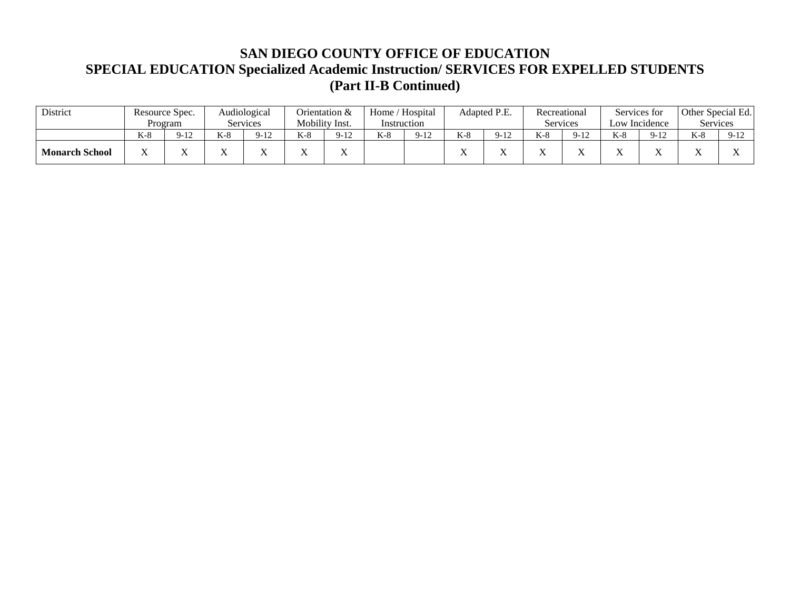| <b>District</b>       |           | Resource Spec. |                     | Audiological                      |       | Orientation &  | Home / Hospital |        |       | Adapted P.E. |            | Recreational |                | Services for  | Other Special Ed. |         |
|-----------------------|-----------|----------------|---------------------|-----------------------------------|-------|----------------|-----------------|--------|-------|--------------|------------|--------------|----------------|---------------|-------------------|---------|
|                       |           | Program        |                     | Services                          |       | Mobility Inst. | Instruction     |        |       |              |            | Services     |                | Low Incidence | Services          |         |
|                       | $K-8$     | $9-12$         | $V_{\alpha}$<br>N-0 | $\overline{12}$<br>$Q_{-}$<br>-14 | $K-8$ | $9 - 12$       | $K-8$           | $9-12$ | $K-8$ | $9-12$       | $K-\delta$ | $9-12$       | $L^2$ O<br>n-0 | $Q - 17$      | $K-8$             | $Q - 1$ |
| <b>Monarch School</b> | $\Lambda$ |                |                     |                                   |       |                |                 |        | . .   |              |            |              |                |               |                   |         |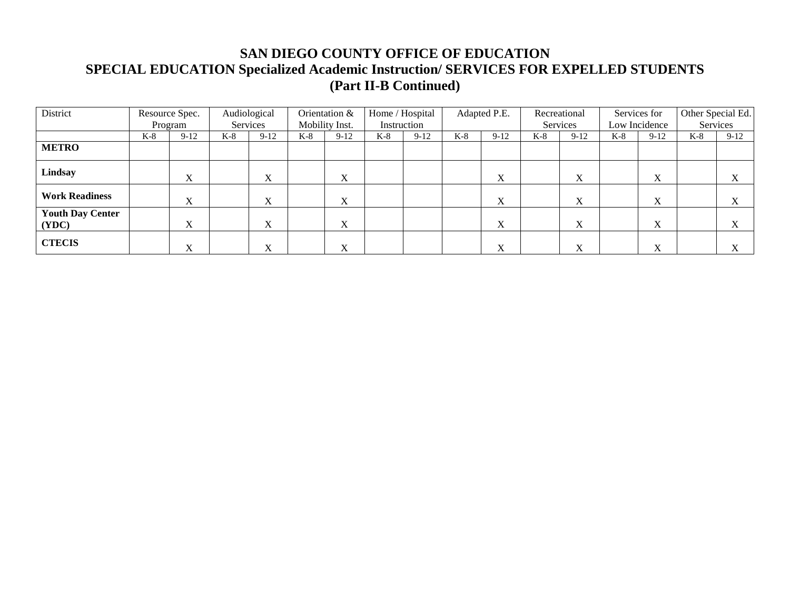| District                         |       | Resource Spec.    | Audiological |             |       | Orientation &  |             | Home / Hospital |       | Adapted P.E.              |       | Recreational |       | Services for              | Other Special Ed. |                          |
|----------------------------------|-------|-------------------|--------------|-------------|-------|----------------|-------------|-----------------|-------|---------------------------|-------|--------------|-------|---------------------------|-------------------|--------------------------|
|                                  |       | Program           | Services     |             |       | Mobility Inst. | Instruction |                 |       |                           |       | Services     |       | Low Incidence             |                   | Services                 |
|                                  | $K-8$ | $9-12$            | $K-8$        | $9-12$      | $K-8$ | $9-12$         | K-8         | $9-12$          | $K-8$ | $9-12$                    | $K-8$ | $9 - 12$     | $K-8$ | $9-12$                    | $K-8$             | $9-12$                   |
| <b>METRO</b>                     |       |                   |              |             |       |                |             |                 |       |                           |       |              |       |                           |                   |                          |
| Lindsay                          |       | X                 |              | X           |       | X              |             |                 |       | $\boldsymbol{\mathrm{X}}$ |       | X            |       | $\mathbf{v}$<br>$\Lambda$ |                   | $\Lambda$                |
| <b>Work Readiness</b>            |       | $\mathbf{v}$<br>A |              | X           |       | X              |             |                 |       | X                         |       | X            |       | X                         |                   | $\Lambda$                |
| <b>Youth Day Center</b><br>(YDC) |       | X                 |              | X           |       | X              |             |                 |       | X                         |       | X            |       | X                         |                   | $\mathbf v$<br>$\Lambda$ |
| <b>CTECIS</b>                    |       | $\mathbf v$<br>л  |              | $\mathbf X$ |       | X              |             |                 |       | X                         |       | X            |       | $\mathbf{v}$<br>л         |                   |                          |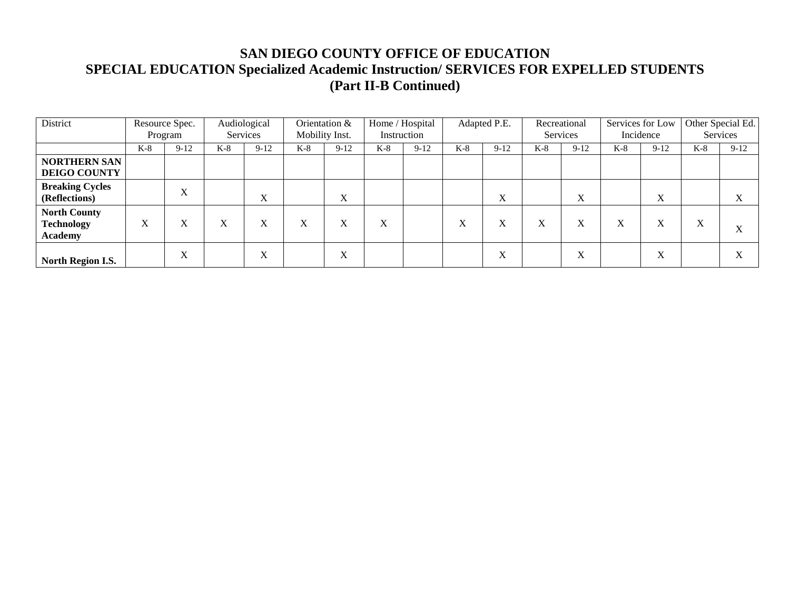| District                                                   |       | Resource Spec. |       | Audiological |                   | Orientation &  | Home / Hospital |             |                   | Adapted P.E. | Recreational |             | Services for Low |                           |       | Other Special Ed.         |
|------------------------------------------------------------|-------|----------------|-------|--------------|-------------------|----------------|-----------------|-------------|-------------------|--------------|--------------|-------------|------------------|---------------------------|-------|---------------------------|
|                                                            |       | Program        |       | Services     |                   | Mobility Inst. |                 | Instruction |                   |              |              | Services    |                  | Incidence                 |       | Services                  |
|                                                            | $K-8$ | $9-12$         | $K-8$ | $9-12$       | $K-8$             | $9-12$         | $K-8$           | $9-12$      | $K-8$             | $9-12$       | $K-8$        | $9-12$      | $K-8$            | $9-12$                    | $K-8$ | $9 - 12$                  |
| <b>NORTHERN SAN</b><br><b>DEIGO COUNTY</b>                 |       |                |       |              |                   |                |                 |             |                   |              |              |             |                  |                           |       |                           |
| <b>Breaking Cycles</b><br>(Reflections)                    |       | X              |       | X            |                   | $\mathbf X$    |                 |             |                   | X            |              | $\mathbf X$ |                  | $\boldsymbol{\mathrm{X}}$ |       | $\mathbf{v}$<br>$\Lambda$ |
| <b>North County</b><br><b>Technology</b><br><b>Academy</b> | X     | X              | X     | X            | $\mathbf{v}$<br>A | X              | X               |             | $\mathbf{v}$<br>л | X            | X            | X           | X                | X                         | X     | $\mathbf{v}$<br>$\lambda$ |
| North Region I.S.                                          |       | X              |       | X            |                   | X              |                 |             |                   | X            |              | $\mathbf X$ |                  | X                         |       | A                         |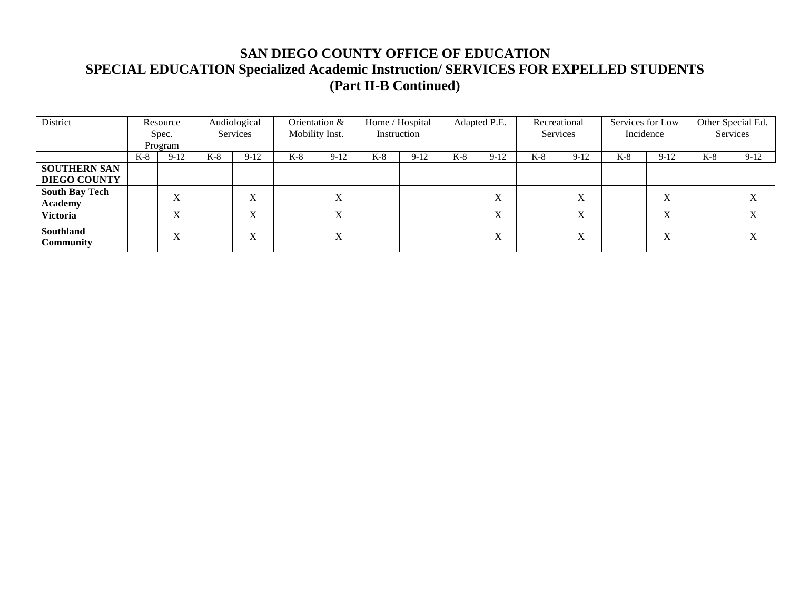| District                                |     | Resource         |       | Audiological                 | Orientation &  |                           | Home / Hospital |        |     | Adapted P.E.              | Recreational |                           | Services for Low |        | Other Special Ed. |          |
|-----------------------------------------|-----|------------------|-------|------------------------------|----------------|---------------------------|-----------------|--------|-----|---------------------------|--------------|---------------------------|------------------|--------|-------------------|----------|
|                                         |     | Spec.<br>Program |       | Services                     | Mobility Inst. |                           | Instruction     |        |     |                           | Services     |                           | Incidence        |        |                   | Services |
|                                         | K-8 | $9-12$           | $K-8$ | $9-12$                       | $K-8$          | $9-12$                    | $K-8$           | $9-12$ | K-8 | $9-12$                    | $K-8$        | $9-12$                    | $K-8$            | $9-12$ | $K-8$             | $9-12$   |
| <b>SOUTHERN SAN</b>                     |     |                  |       |                              |                |                           |                 |        |     |                           |              |                           |                  |        |                   |          |
| <b>DIEGO COUNTY</b>                     |     |                  |       |                              |                |                           |                 |        |     |                           |              |                           |                  |        |                   |          |
| <b>South Bay Tech</b><br><b>Academy</b> |     | X                |       | $\overline{\mathbf{v}}$<br>л |                | $\mathbf{v}$<br>$\Lambda$ |                 |        |     | $\mathbf{v}$<br>$\Lambda$ |              | $\mathbf{v}$<br>A         |                  | X      |                   |          |
| Victoria                                |     | X                |       | τz<br>$\Lambda$              |                | $\mathbf{v}$<br>$\Lambda$ |                 |        |     | $\mathbf{v}$<br>$\Lambda$ |              | $\mathbf{v}$<br>$\Lambda$ |                  | X      |                   | X        |
| Southland<br><b>Community</b>           |     | X                |       | $\mathbf{v}$<br>л            |                | $\mathbf{v}$<br>$\Lambda$ |                 |        |     | $\Lambda$                 |              | $\mathbf{v}$<br>A         |                  | X      |                   |          |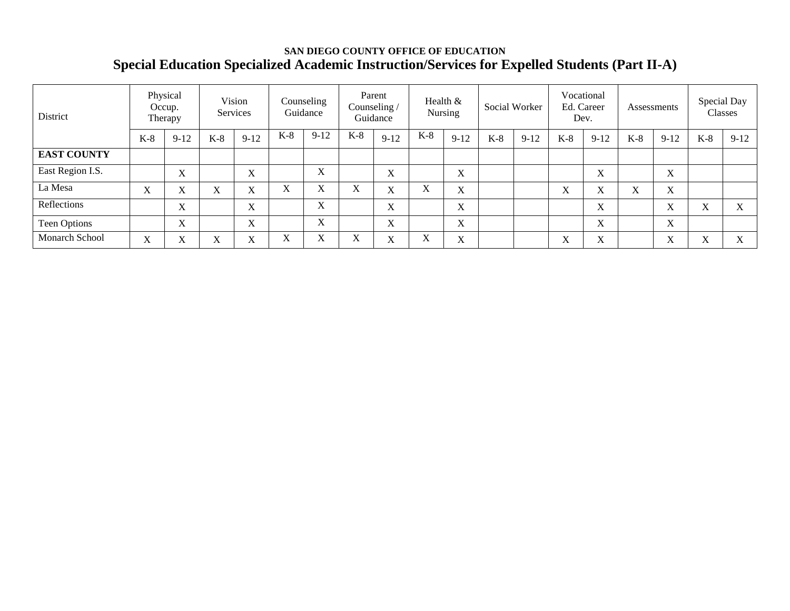## **SAN DIEGO COUNTY OFFICE OF EDUCATION Special Education Specialized Academic Instruction/Services for Expelled Students (Part II-A)**

| District           |                   | Physical<br>Occup.<br>Therapy |                           | Vision<br>Services |             | Counseling<br>Guidance |                   | Parent<br>Counseling /<br>Guidance |                           | Health &<br>Nursing |       | Social Worker |                   | Vocational<br>Ed. Career<br>Dev. |       | Assessments |                  | Special Day<br>Classes   |
|--------------------|-------------------|-------------------------------|---------------------------|--------------------|-------------|------------------------|-------------------|------------------------------------|---------------------------|---------------------|-------|---------------|-------------------|----------------------------------|-------|-------------|------------------|--------------------------|
|                    | $K-8$             | $9-12$                        | $K-8$                     | $9-12$             | $K-8$       | $9-12$                 | $K-8$             | $9-12$                             | $K-8$                     | $9-12$              | $K-8$ | $9 - 12$      | $K-8$             | $9 - 12$                         | $K-8$ | $9-12$      | $K-8$            | $9 - 12$                 |
| <b>EAST COUNTY</b> |                   |                               |                           |                    |             |                        |                   |                                    |                           |                     |       |               |                   |                                  |       |             |                  |                          |
| East Region I.S.   |                   | X                             |                           | X                  |             | X                      |                   | $\mathbf{v}$<br>A                  |                           | $\mathbf X$         |       |               |                   | X                                |       | X           |                  |                          |
| La Mesa            | X                 | $\mathbf{v}$<br>л             | $\mathbf{v}$<br>Λ         | X                  | X           | X                      | X                 | $\mathbf{v}$<br>$\lambda$          | X                         | X                   |       |               | $\mathbf{v}$<br>A | $\mathbf{v}$<br>A                | X     | X           |                  |                          |
| Reflections        |                   | X                             |                           | X                  |             | X                      |                   | $\mathbf{v}$<br>$\Delta$           |                           | X                   |       |               |                   | X                                |       | X           | X                | $\mathbf{v}$<br>$\Delta$ |
| Teen Options       |                   | $\mathbf{X}$                  |                           | X                  |             | X                      |                   | X                                  |                           | X                   |       |               |                   | X                                |       | X           |                  |                          |
| Monarch School     | $\mathbf{v}$<br>л | v<br>Λ                        | $\mathbf{v}$<br>$\Lambda$ | X                  | $\mathbf X$ | X                      | $\mathbf{v}$<br>л | $\mathbf{v}$<br>A                  | $\boldsymbol{\mathrm{X}}$ | X                   |       |               | $\mathbf{v}$<br>л | $\mathbf{v}$<br>Λ                |       | X           | $\mathbf v$<br>л | $\mathbf{v}$<br>∧        |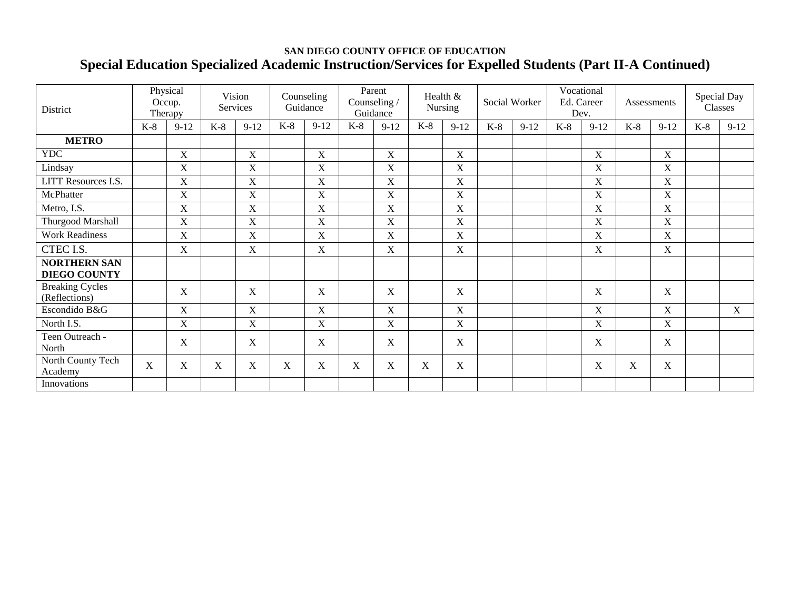## **SAN DIEGO COUNTY OFFICE OF EDUCATION Special Education Specialized Academic Instruction/Services for Expelled Students (Part II-A Continued)**

| <b>District</b>                            |             | Physical<br>Occup.<br>Therapy |       | Vision<br>Services |                           | Counseling<br>Guidance |       | Parent<br>Counseling /<br>Guidance |             | Health &<br>Nursing |       | Social Worker | Dev.  | Vocational<br>Ed. Career |       | Assessments |       | Special Day<br>Classes |
|--------------------------------------------|-------------|-------------------------------|-------|--------------------|---------------------------|------------------------|-------|------------------------------------|-------------|---------------------|-------|---------------|-------|--------------------------|-------|-------------|-------|------------------------|
|                                            | $K-8$       | $9-12$                        | $K-8$ | $9 - 12$           | $K-8$                     | $9-12$                 | $K-8$ | $9 - 12$                           | $K-8$       | $9-12$              | $K-8$ | $9-12$        | $K-8$ | $9 - 12$                 | $K-8$ | $9-12$      | $K-8$ | $9-12$                 |
| <b>METRO</b>                               |             |                               |       |                    |                           |                        |       |                                    |             |                     |       |               |       |                          |       |             |       |                        |
| <b>YDC</b>                                 |             | $\mathbf X$                   |       | $\mathbf X$        |                           | $\mathbf X$            |       | $\mathbf X$                        |             | $\mathbf X$         |       |               |       | $\mathbf X$              |       | $\mathbf X$ |       |                        |
| Lindsay                                    |             | X                             |       | X                  |                           | X                      |       | X                                  |             | $\mathbf X$         |       |               |       | X                        |       | X           |       |                        |
| LITT Resources I.S.                        |             | $\mathbf X$                   |       | $\mathbf X$        |                           | $\mathbf X$            |       | X                                  |             | $\mathbf X$         |       |               |       | $\mathbf X$              |       | $\mathbf X$ |       |                        |
| McPhatter                                  |             | X                             |       | $\mathbf X$        |                           | $\mathbf X$            |       | X                                  |             | $\mathbf X$         |       |               |       | $\mathbf X$              |       | $\mathbf X$ |       |                        |
| Metro, I.S.                                |             | $\mathbf X$                   |       | $\mathbf X$        |                           | $\mathbf X$            |       | $\mathbf X$                        |             | $\mathbf X$         |       |               |       | $\mathbf X$              |       | $\mathbf X$ |       |                        |
| Thurgood Marshall                          |             | X                             |       | $\mathbf X$        |                           | $\mathbf X$            |       | X                                  |             | $\mathbf X$         |       |               |       | X                        |       | $\mathbf X$ |       |                        |
| <b>Work Readiness</b>                      |             | $\mathbf X$                   |       | $\boldsymbol{X}$   |                           | $\mathbf X$            |       | X                                  |             | $\mathbf X$         |       |               |       | $\mathbf X$              |       | $\mathbf X$ |       |                        |
| CTEC I.S.                                  |             | X                             |       | $\mathbf X$        |                           | $\mathbf X$            |       | X                                  |             | $\mathbf X$         |       |               |       | $\mathbf X$              |       | $\mathbf X$ |       |                        |
| <b>NORTHERN SAN</b><br><b>DIEGO COUNTY</b> |             |                               |       |                    |                           |                        |       |                                    |             |                     |       |               |       |                          |       |             |       |                        |
| <b>Breaking Cycles</b><br>(Reflections)    |             | X                             |       | X                  |                           | X                      |       | X                                  |             | X                   |       |               |       | X                        |       | X           |       |                        |
| Escondido B&G                              |             | $\mathbf X$                   |       | $\boldsymbol{X}$   |                           | $\mathbf X$            |       | $\mathbf X$                        |             | $\mathbf X$         |       |               |       | $\mathbf X$              |       | $\mathbf X$ |       | $\mathbf X$            |
| North I.S.                                 |             | $\mathbf X$                   |       | $\mathbf X$        |                           | $\mathbf X$            |       | X                                  |             | X                   |       |               |       | $\mathbf X$              |       | $\mathbf X$ |       |                        |
| Teen Outreach -<br>North                   |             | X                             |       | X                  |                           | $\mathbf X$            |       | X                                  |             | X                   |       |               |       | $\mathbf X$              |       | $\mathbf X$ |       |                        |
| North County Tech<br>Academy               | $\mathbf X$ | X                             | X     | $\mathbf X$        | $\boldsymbol{\mathrm{X}}$ | X                      | X     | X                                  | $\mathbf X$ | X                   |       |               |       | $\mathbf X$              | X     | $\mathbf X$ |       |                        |
| Innovations                                |             |                               |       |                    |                           |                        |       |                                    |             |                     |       |               |       |                          |       |             |       |                        |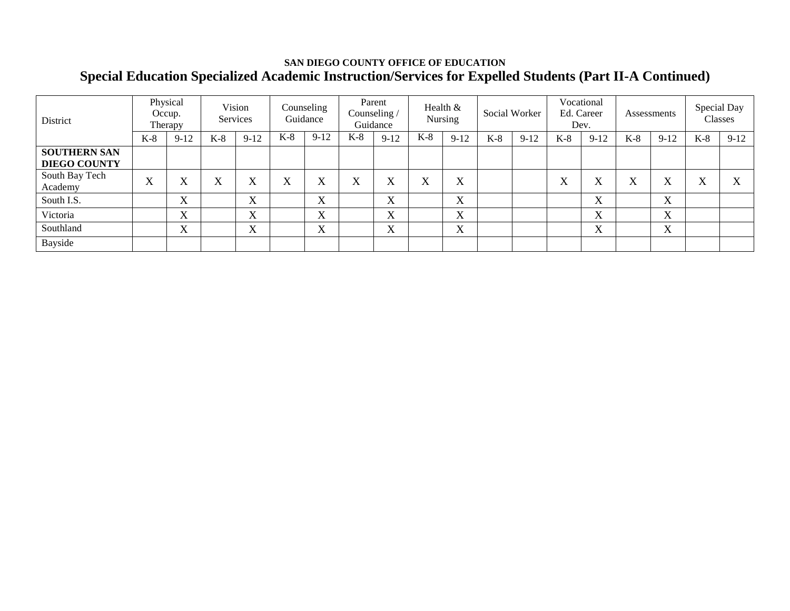## **SAN DIEGO COUNTY OFFICE OF EDUCATION Special Education Specialized Academic Instruction/Services for Expelled Students (Part II-A Continued)**

| District                  |                   | Physical<br>Occup.<br>Therapy |                   | Vision<br>Services |       | Counseling<br>Guidance |       | Parent<br>Counseling /<br>Guidance |       | Health $&$<br>Nursing |       | Social Worker |                     | Vocational<br>Ed. Career<br>Dev. |       | Assessments |       | Special Day<br>Classes |
|---------------------------|-------------------|-------------------------------|-------------------|--------------------|-------|------------------------|-------|------------------------------------|-------|-----------------------|-------|---------------|---------------------|----------------------------------|-------|-------------|-------|------------------------|
|                           | $K-8$             | $9-12$                        | $K-8$             | $9-12$             | $K-8$ | $9 - 12$               | $K-8$ | $9 - 12$                           | $K-8$ | $9-12$                | $K-8$ | $9-12$        | $K-8$               | $9-12$                           | $K-8$ | $9 - 12$    | $K-8$ | $9-12$                 |
| <b>SOUTHERN SAN</b>       |                   |                               |                   |                    |       |                        |       |                                    |       |                       |       |               |                     |                                  |       |             |       |                        |
| <b>DIEGO COUNTY</b>       |                   |                               |                   |                    |       |                        |       |                                    |       |                       |       |               |                     |                                  |       |             |       |                        |
| South Bay Tech<br>Academy | $\mathbf{v}$<br>A | X                             | $\mathbf{v}$<br>л | X                  | X     | Х                      | X     | $\mathbf{v}$<br>л                  | X     | X                     |       |               | $\overline{r}$<br>л | $\overline{\mathbf{x}}$<br>л     | X     | X           | X     | ٦z<br>$\Lambda$        |
| South I.S.                |                   | X                             |                   | X                  |       | X                      |       | $\mathbf{v}$<br>$\Lambda$          |       | X                     |       |               |                     | $\overline{\mathbf{v}}$<br>Λ     |       | X           |       |                        |
| Victoria                  |                   | X                             |                   | X                  |       | X                      |       | $\mathbf{v}$<br>A                  |       | X                     |       |               |                     | $\mathbf{v}$<br>A                |       | X           |       |                        |
| Southland                 |                   | $\mathbf{v}$<br>л             |                   | $\mathbf{v}$<br>A  |       | X                      |       | $\mathbf{v}$<br>$\Lambda$          |       | X                     |       |               |                     | $\mathbf{v}$<br>A                |       | X           |       |                        |
| Bayside                   |                   |                               |                   |                    |       |                        |       |                                    |       |                       |       |               |                     |                                  |       |             |       |                        |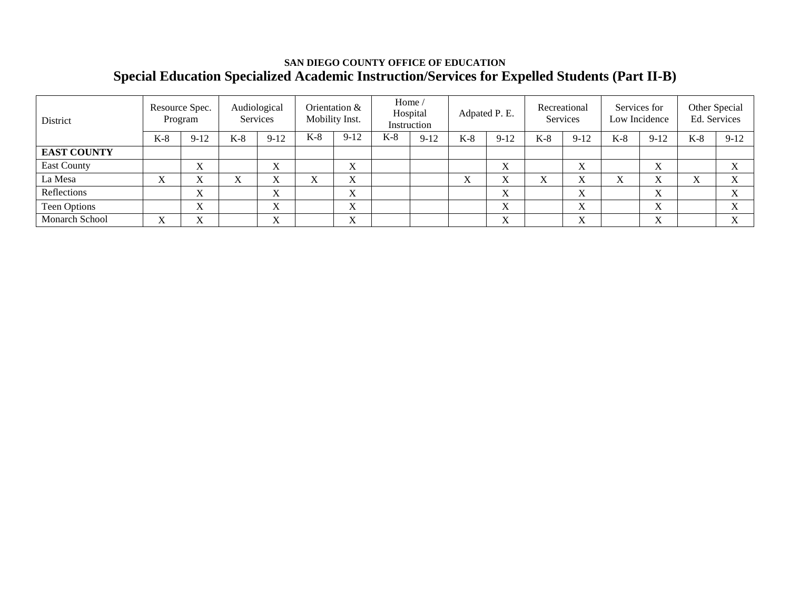## **SAN DIEGO COUNTY OFFICE OF EDUCATION Special Education Specialized Academic Instruction/Services for Expelled Students (Part II-B)**

| District           |                              | Resource Spec.<br>Program |       | Audiological<br>Services | Mobility Inst. | Orientation &                        | Home / | Hospital<br>Instruction |       | Adpated P. E.                |       | Recreational<br>Services  |       | Services for<br>Low Incidence |       | Other Special<br>Ed. Services |
|--------------------|------------------------------|---------------------------|-------|--------------------------|----------------|--------------------------------------|--------|-------------------------|-------|------------------------------|-------|---------------------------|-------|-------------------------------|-------|-------------------------------|
|                    | $K-8$                        | $9-12$                    | $K-8$ | $9-12$                   | $K-8$          | $9 - 12$                             | $K-8$  | $9 - 12$                | $K-8$ | $9-12$                       | $K-8$ | $9-12$                    | $K-8$ | $9-12$                        | $K-8$ | $9 - 12$                      |
| <b>EAST COUNTY</b> |                              |                           |       |                          |                |                                      |        |                         |       |                              |       |                           |       |                               |       |                               |
| <b>East County</b> |                              | X                         |       | τz<br>л                  |                | $\mathbf{v}$<br>$\Lambda$            |        |                         |       | $\mathbf{v}$<br>$\Lambda$    |       | $\mathbf v$<br>$\Lambda$  |       | $\Lambda$                     |       |                               |
| La Mesa            | $\overline{\mathbf{x}}$<br>л | <b>T</b>                  | △     | v y                      | v y            | ۳z<br>$\Lambda$                      |        |                         | △     |                              |       |                           |       |                               |       |                               |
| Reflections        |                              | $\mathbf{v}$<br>л         |       | τz<br>л                  |                | ٦z<br>$\Lambda$                      |        |                         |       | <b>T</b><br>$\Lambda$        |       | $\mathbf{v}$<br>$\Lambda$ |       | $\Lambda$                     |       |                               |
| Teen Options       |                              | $\mathbf{v}$<br>л         |       | <b>T</b>                 |                | τz<br>$\Lambda$                      |        |                         |       | <b>T</b><br>л                |       | $\mathbf{v}$<br>$\Lambda$ |       | $\mathbf{v}$<br>$\Lambda$     |       |                               |
| Monarch School     | $\overline{\mathbf{x}}$<br>л | $\mathbf{v}$<br>л         |       | <b>T</b><br>л            |                | $\overline{\mathbf{x}}$<br>$\Lambda$ |        |                         |       | $\overline{\mathbf{x}}$<br>л |       | $\mathbf{v}$<br>л         |       | $\mathbf{v}$<br>$\Lambda$     |       | XZ.                           |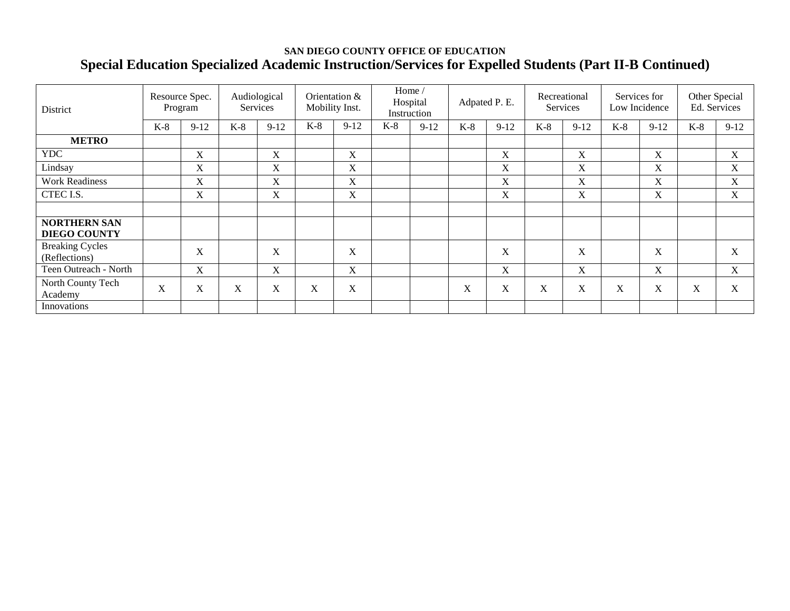## **SAN DIEGO COUNTY OFFICE OF EDUCATION Special Education Specialized Academic Instruction/Services for Expelled Students (Part II-B Continued)**

| District                                   | Resource Spec.            | Program     |       | Audiological<br><b>Services</b> | Mobility Inst. | Orientation & | Home/ | Hospital<br>Instruction | Adpated P. E. |             | Recreational | <b>Services</b> |       | Services for<br>Low Incidence | Other Special<br>Ed. Services |             |
|--------------------------------------------|---------------------------|-------------|-------|---------------------------------|----------------|---------------|-------|-------------------------|---------------|-------------|--------------|-----------------|-------|-------------------------------|-------------------------------|-------------|
|                                            | $K-8$                     | $9 - 12$    | $K-8$ | $9-12$                          | $K-8$          | $9-12$        | $K-8$ | $9 - 12$                | $K-8$         | $9 - 12$    | $K-8$        | $9 - 12$        | $K-8$ | $9 - 12$                      | $K-8$                         | $9 - 12$    |
| <b>METRO</b>                               |                           |             |       |                                 |                |               |       |                         |               |             |              |                 |       |                               |                               |             |
| <b>YDC</b>                                 |                           | $\mathbf X$ |       | X                               |                | X             |       |                         |               | X           |              | $\mathbf X$     |       | X                             |                               | $\mathbf X$ |
| Lindsay                                    |                           | X           |       | X                               |                | X             |       |                         |               | X           |              | X               |       | X                             |                               | X           |
| <b>Work Readiness</b>                      |                           | X           |       | X                               |                | X             |       |                         |               | X           |              | X               |       | X                             |                               | X           |
| CTEC I.S.                                  |                           | X           |       | $\mathbf X$                     |                | $\mathbf X$   |       |                         |               | $\mathbf X$ |              | X               |       | $\mathbf X$                   |                               | X           |
|                                            |                           |             |       |                                 |                |               |       |                         |               |             |              |                 |       |                               |                               |             |
| <b>NORTHERN SAN</b><br><b>DIEGO COUNTY</b> |                           |             |       |                                 |                |               |       |                         |               |             |              |                 |       |                               |                               |             |
| <b>Breaking Cycles</b><br>(Reflections)    |                           | X           |       | $\mathbf X$                     |                | $\mathbf X$   |       |                         |               | X           |              | X               |       | X                             |                               | X           |
| Teen Outreach - North                      |                           | X           |       | X                               |                | X             |       |                         |               | X           |              | X               |       | X                             |                               | X           |
| North County Tech<br>Academy               | $\boldsymbol{\mathrm{X}}$ | X           | X     | X                               | X              | X             |       |                         | X             | X           | X            | X               | X     | X                             | X                             | X           |
| Innovations                                |                           |             |       |                                 |                |               |       |                         |               |             |              |                 |       |                               |                               |             |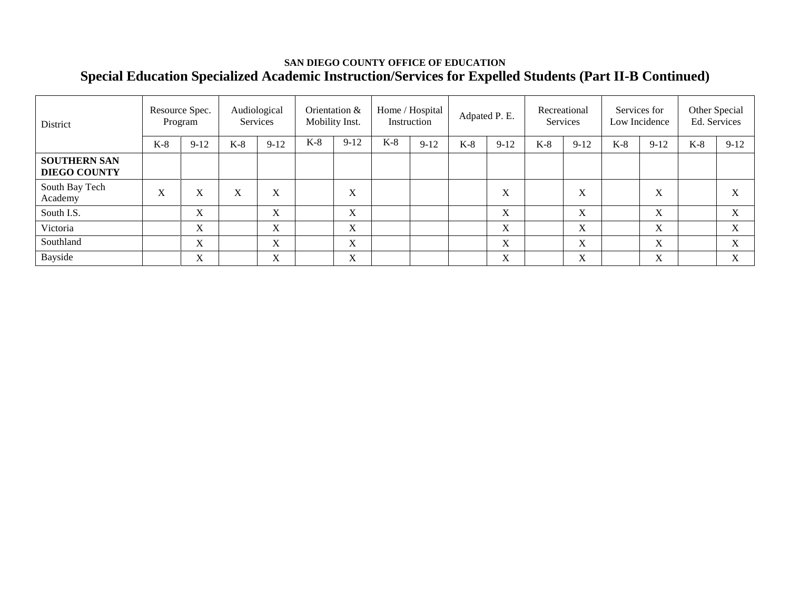## **SAN DIEGO COUNTY OFFICE OF EDUCATION Special Education Specialized Academic Instruction/Services for Expelled Students (Part II-B Continued)**

| District                                   |                  | Resource Spec.<br>Program |       | Audiological<br><b>Services</b> |       | Orientation &<br>Mobility Inst.      |       | Home / Hospital<br>Instruction |       | Adpated P. E.             |       | Recreational<br>Services |       | Services for<br>Low Incidence |       | Other Special<br>Ed. Services |
|--------------------------------------------|------------------|---------------------------|-------|---------------------------------|-------|--------------------------------------|-------|--------------------------------|-------|---------------------------|-------|--------------------------|-------|-------------------------------|-------|-------------------------------|
|                                            | $K-8$            | $9-12$                    | $K-8$ | $9-12$                          | $K-8$ | $9 - 12$                             | $K-8$ | $9 - 12$                       | $K-8$ | $9 - 12$                  | $K-8$ | $9 - 12$                 | $K-8$ | $9 - 12$                      | $K-8$ | $9-12$                        |
| <b>SOUTHERN SAN</b><br><b>DIEGO COUNTY</b> |                  |                           |       |                                 |       |                                      |       |                                |       |                           |       |                          |       |                               |       |                               |
| South Bay Tech<br>Academy                  | $\mathbf v$<br>A | $\mathbf v$<br>A          | л     | v<br>л                          |       | v<br>$\Lambda$                       |       |                                |       | $\mathbf v$<br>$\Lambda$  |       | X                        |       | $\mathbf{v}$<br>$\Lambda$     |       |                               |
| South I.S.                                 |                  | X                         |       | $\mathbf{v}$<br>$\Delta$        |       | $\overline{\mathbf{v}}$<br>$\Lambda$ |       |                                |       | $\mathbf{v}$<br>$\Lambda$ |       | X                        |       | $\mathbf{v}$<br>$\lambda$     |       | $\mathbf{v}$<br>$\Lambda$     |
| Victoria                                   |                  | X                         |       | X                               |       | $\mathbf{v}$<br>$\Lambda$            |       |                                |       | X                         |       | X                        |       | X                             |       | $\mathbf{v}$<br>$\lambda$     |
| Southland                                  |                  | X                         |       | $\mathbf{v}$<br>$\Delta$        |       | $\mathbf{v}$<br>A                    |       |                                |       | X                         |       | X                        |       | X                             |       | $\mathbf{v}$<br>A             |
| Bayside                                    |                  | X                         |       | v<br>л                          |       | $\overline{\mathbf{v}}$<br>A         |       |                                |       | X                         |       | X                        |       | X                             |       | $\mathbf{v}$                  |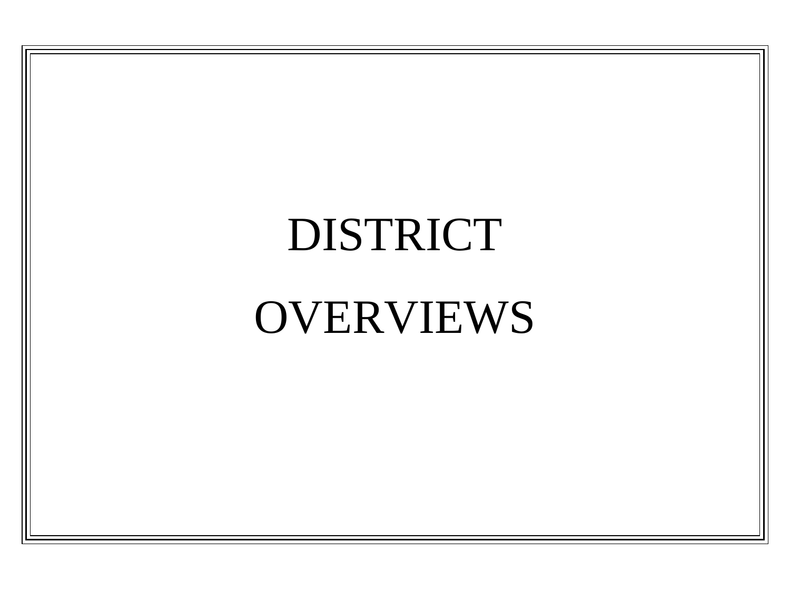# DISTRICT

# OVERVIEWS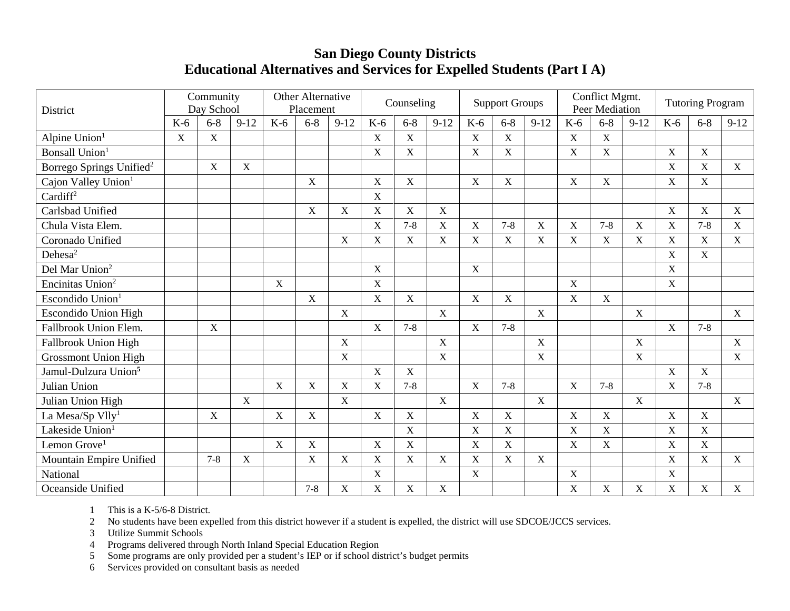## **San Diego County Districts Educational Alternatives and Services for Expelled Students (Part I A)**

| District                             |             | Community<br>Day School |                           |             | Other Alternative<br>Placement |             |             | Counseling     |             |                           | <b>Support Groups</b> |              |             | Conflict Mgmt.<br><b>Peer Mediation</b> |                           |                           | <b>Tutoring Program</b> |             |
|--------------------------------------|-------------|-------------------------|---------------------------|-------------|--------------------------------|-------------|-------------|----------------|-------------|---------------------------|-----------------------|--------------|-------------|-----------------------------------------|---------------------------|---------------------------|-------------------------|-------------|
|                                      | $K-6$       | $6 - 8$                 | $9-12$                    | $K-6$       | $6 - 8$                        | $9-12$      | $K-6$       | $6 - 8$        | $9-12$      | $K-6$                     | $6 - 8$               | $9 - 12$     | $K-6$       | $6 - 8$                                 | $9-12$                    | $K-6$                     | $6 - 8$                 | $9-12$      |
| Alpine Union <sup>1</sup>            | $\mathbf X$ | $\mathbf X$             |                           |             |                                |             | X           | $\mathbf X$    |             | X                         | X                     |              | X           | $\boldsymbol{X}$                        |                           |                           |                         |             |
| <b>Bonsall Union</b>                 |             |                         |                           |             |                                |             | X           | X              |             | X                         | X                     |              | X           | $\mathbf X$                             |                           | $\mathbf X$               | $\mathbf X$             |             |
| Borrego Springs Unified <sup>2</sup> |             | $\mathbf X$             | $\mathbf X$               |             |                                |             |             |                |             |                           |                       |              |             |                                         |                           | $\mathbf X$               | $\mathbf X$             | $\mathbf X$ |
| Cajon Valley Union <sup>1</sup>      |             |                         |                           |             | X                              |             | $\mathbf X$ | $\overline{X}$ |             | X                         | $\mathbf X$           |              | $\mathbf X$ | X                                       |                           | $\mathbf X$               | $\mathbf X$             |             |
| Cardiff <sup>2</sup>                 |             |                         |                           |             |                                |             | X           |                |             |                           |                       |              |             |                                         |                           |                           |                         |             |
| Carlsbad Unified                     |             |                         |                           |             | $\mathbf X$                    | X           | $\mathbf X$ | X              | $\mathbf X$ |                           |                       |              |             |                                         |                           | $\mathbf X$               | $\mathbf X$             | $\mathbf X$ |
| Chula Vista Elem.                    |             |                         |                           |             |                                |             | X           | $7 - 8$        | $\mathbf X$ | X                         | $7 - 8$               | X            | $\mathbf X$ | $7 - 8$                                 | X                         | $\mathbf X$               | $7 - 8$                 | X           |
| Coronado Unified                     |             |                         |                           |             |                                | $\mathbf X$ | $\mathbf X$ | $\mathbf X$    | $\mathbf X$ | $\mathbf X$               | $\mathbf X$           | $\mathbf X$  | $\mathbf X$ | $\mathbf X$                             | $\mathbf X$               | $\mathbf X$               | $\mathbf X$             | X           |
| Dehesa <sup>2</sup>                  |             |                         |                           |             |                                |             |             |                |             |                           |                       |              |             |                                         |                           | $\boldsymbol{\mathrm{X}}$ | $\mathbf X$             |             |
| Del Mar Union <sup>2</sup>           |             |                         |                           |             |                                |             | $\mathbf X$ |                |             | $\mathbf X$               |                       |              |             |                                         |                           | $\mathbf X$               |                         |             |
| Encinitas Union <sup>2</sup>         |             |                         |                           | X           |                                |             | $\mathbf X$ |                |             |                           |                       |              | X           |                                         |                           | $\mathbf X$               |                         |             |
| Escondido Union <sup>1</sup>         |             |                         |                           |             | X                              |             | $\mathbf X$ | $\mathbf X$    |             | $\boldsymbol{\mathrm{X}}$ | X                     |              | $\mathbf X$ | $\mathbf X$                             |                           |                           |                         |             |
| <b>Escondido Union High</b>          |             |                         |                           |             |                                | $\mathbf X$ |             |                | $\mathbf X$ |                           |                       | $\mathbf X$  |             |                                         | $\mathbf X$               |                           |                         | $\mathbf X$ |
| Fallbrook Union Elem.                |             | $\mathbf X$             |                           |             |                                |             | $\mathbf X$ | $7 - 8$        |             | $\mathbf X$               | $7 - 8$               |              |             |                                         |                           | $\mathbf X$               | $7 - 8$                 |             |
| Fallbrook Union High                 |             |                         |                           |             |                                | $\mathbf X$ |             |                | $\mathbf X$ |                           |                       | $\mathbf X$  |             |                                         | $\mathbf X$               |                           |                         | X           |
| <b>Grossmont Union High</b>          |             |                         |                           |             |                                | $\mathbf X$ |             |                | $\mathbf X$ |                           |                       | $\mathbf X$  |             |                                         | $\mathbf X$               |                           |                         | X           |
| Jamul-Dulzura Union <sup>5</sup>     |             |                         |                           |             |                                |             | $\mathbf X$ | X              |             |                           |                       |              |             |                                         |                           | $\boldsymbol{\mathrm{X}}$ | $\mathbf X$             |             |
| Julian Union                         |             |                         |                           | X           | $\mathbf X$                    | $\mathbf X$ | $\mathbf X$ | $7 - 8$        |             | $\mathbf X$               | $7 - 8$               |              | $\mathbf X$ | $7 - 8$                                 |                           | $\mathbf X$               | $7 - 8$                 |             |
| Julian Union High                    |             |                         | $\mathbf X$               |             |                                | $\mathbf X$ |             |                | X           |                           |                       | $\mathbf{X}$ |             |                                         | X                         |                           |                         | X           |
| La Mesa/Sp Vlly <sup>1</sup>         |             | $\mathbf X$             |                           | $\mathbf X$ | $\mathbf X$                    |             | $\mathbf X$ | $\mathbf X$    |             | $\mathbf X$               | $\mathbf X$           |              | $\mathbf X$ | $\mathbf X$                             |                           | $\mathbf X$               | $\mathbf X$             |             |
| Lakeside Union <sup>1</sup>          |             |                         |                           |             |                                |             |             | $\mathbf X$    |             | $\boldsymbol{\mathrm{X}}$ | X                     |              | $\mathbf X$ | $\mathbf X$                             |                           | $\mathbf X$               | $\mathbf X$             |             |
| Lemon Grove <sup>1</sup>             |             |                         |                           | $\mathbf X$ | X                              |             | $\mathbf X$ | X              |             | $\boldsymbol{\mathrm{X}}$ | X                     |              | X           | $\mathbf X$                             |                           | $\boldsymbol{\mathrm{X}}$ | $\mathbf X$             |             |
| Mountain Empire Unified              |             | $7 - 8$                 | $\boldsymbol{\mathrm{X}}$ |             | $\mathbf X$                    | $\mathbf X$ | $\mathbf X$ | X              | $\mathbf X$ | $\boldsymbol{\mathrm{X}}$ | $\mathbf X$           | $\mathbf X$  |             |                                         |                           | $\mathbf X$               | $\mathbf X$             | X           |
| National                             |             |                         |                           |             |                                |             | $\mathbf X$ |                |             | $\boldsymbol{\mathrm{X}}$ |                       |              | X           |                                         |                           | $\mathbf X$               |                         |             |
| Oceanside Unified                    |             |                         |                           |             | $7 - 8$                        | X           | X           | X              | X           |                           |                       |              | X           | $\boldsymbol{\mathrm{X}}$               | $\boldsymbol{\mathrm{X}}$ | $\mathbf X$               | $\mathbf X$             | X           |

1 This is a K-5/6-8 District.

2 No students have been expelled from this district however if a student is expelled, the district will use SDCOE/JCCS services.

3 Utilize Summit Schools

4 Programs delivered through North Inland Special Education Region<br>5 Some programs are only provided per a student's IEP or if school dis

5 Some programs are only provided per a student's IEP or if school district's budget permits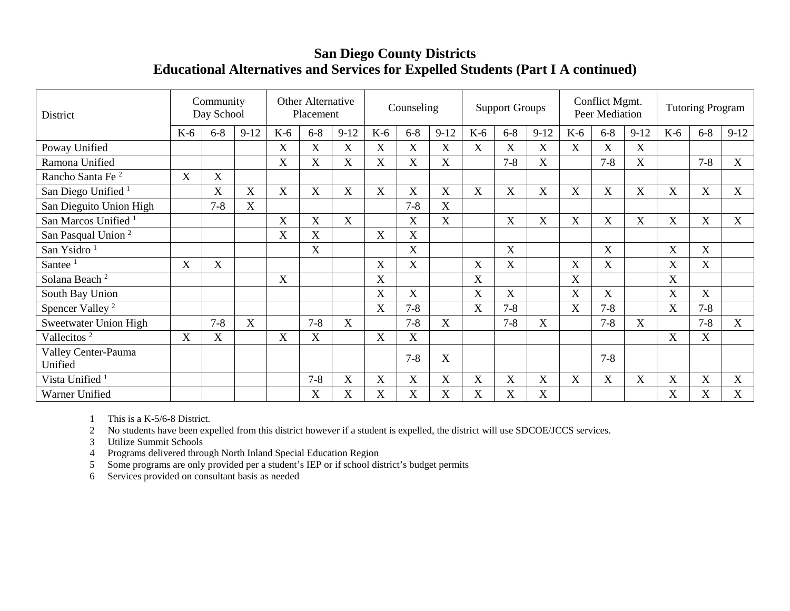## **San Diego County Districts Educational Alternatives and Services for Expelled Students (Part I A continued)**

| District                        |             | Community<br>Day School |        |             | <b>Other Alternative</b><br>Placement |             |             | Counseling  |             |             | <b>Support Groups</b>   |             |             | Conflict Mgmt.<br>Peer Mediation |          |       | <b>Tutoring Program</b>   |             |
|---------------------------------|-------------|-------------------------|--------|-------------|---------------------------------------|-------------|-------------|-------------|-------------|-------------|-------------------------|-------------|-------------|----------------------------------|----------|-------|---------------------------|-------------|
|                                 | $K-6$       | $6 - 8$                 | $9-12$ | $K-6$       | $6 - 8$                               | $9-12$      | $K-6$       | $6 - 8$     | $9-12$      | $K-6$       | $6 - 8$                 | $9-12$      | $K-6$       | $6 - 8$                          | $9 - 12$ | $K-6$ | $6 - 8$                   | $9-12$      |
| Poway Unified                   |             |                         |        | $\mathbf X$ | X                                     | $\mathbf X$ | X           | $\mathbf X$ | X           | $\mathbf X$ | $\mathbf X$             | $\mathbf X$ | X           | $\mathbf X$                      | X        |       |                           |             |
| Ramona Unified                  |             |                         |        | X           | X                                     | X           | X           | X           | $\mathbf X$ |             | $7 - 8$                 | X           |             | $7 - 8$                          | X        |       | $7 - 8$                   | X           |
| Rancho Santa Fe <sup>2</sup>    | $\mathbf X$ | X                       |        |             |                                       |             |             |             |             |             |                         |             |             |                                  |          |       |                           |             |
| San Diego Unified <sup>1</sup>  |             | $\overline{\text{X}}$   | X      | X           | X                                     | $\mathbf X$ | X           | X           | X           | X           | $\overline{\mathrm{X}}$ | X           | X           | $\mathbf X$                      | X        | X     | $\boldsymbol{\mathrm{X}}$ | X           |
| San Dieguito Union High         |             | $7 - 8$                 | X      |             |                                       |             |             | $7 - 8$     | X           |             |                         |             |             |                                  |          |       |                           |             |
| San Marcos Unified <sup>1</sup> |             |                         |        | X           | X                                     | X           |             | X           | X           |             | $\overline{\mathrm{X}}$ | X           | X           | X                                | X        | X     | $\boldsymbol{\mathrm{X}}$ | X           |
| San Pasqual Union <sup>2</sup>  |             |                         |        | X           | X                                     |             | X           | X           |             |             |                         |             |             |                                  |          |       |                           |             |
| San Ysidro <sup>1</sup>         |             |                         |        |             | X                                     |             |             | X           |             |             | $\overline{\text{X}}$   |             |             | X                                |          | X     | $\boldsymbol{\mathrm{X}}$ |             |
| Santee $1$                      | $\mathbf X$ | X                       |        |             |                                       |             | X           | X           |             | X           | X                       |             | $\mathbf X$ | X                                |          | X     | X                         |             |
| Solana Beach <sup>2</sup>       |             |                         |        | $\mathbf X$ |                                       |             | $\mathbf X$ |             |             | $\mathbf X$ |                         |             | X           |                                  |          | X     |                           |             |
| South Bay Union                 |             |                         |        |             |                                       |             | X           | X           |             | X           | X                       |             | $\mathbf X$ | X                                |          | X     | X                         |             |
| Spencer Valley <sup>2</sup>     |             |                         |        |             |                                       |             | X           | $7 - 8$     |             | X           | $7 - 8$                 |             | $\mathbf X$ | $7 - 8$                          |          | X     | $7 - 8$                   |             |
| Sweetwater Union High           |             | $7 - 8$                 | X      |             | $7 - 8$                               | X           |             | $7 - 8$     | X           |             | $7 - 8$                 | X           |             | $7 - 8$                          | X        |       | $7 - 8$                   | X           |
| Vallecitos <sup>2</sup>         | $\mathbf X$ | X                       |        | $\mathbf X$ | X                                     |             | $\mathbf X$ | X           |             |             |                         |             |             |                                  |          | X     | $\mathbf X$               |             |
| Valley Center-Pauma<br>Unified  |             |                         |        |             |                                       |             |             | $7 - 8$     | X           |             |                         |             |             | $7 - 8$                          |          |       |                           |             |
| Vista Unified <sup>1</sup>      |             |                         |        |             | $7 - 8$                               | X           | X           | X           | X           | X           | X                       | X           | $\mathbf X$ | $\mathbf X$                      | X        | X     | X                         | $\mathbf X$ |
| Warner Unified                  |             |                         |        |             | X                                     | X           | X           | X           | X           | X           | X                       | X           |             |                                  |          | X     | X                         | X           |

1 This is a K-5/6-8 District.

2 No students have been expelled from this district however if a student is expelled, the district will use SDCOE/JCCS services.

3 Utilize Summit Schools

4 Programs delivered through North Inland Special Education Region

5 Some programs are only provided per a student's IEP or if school district's budget permits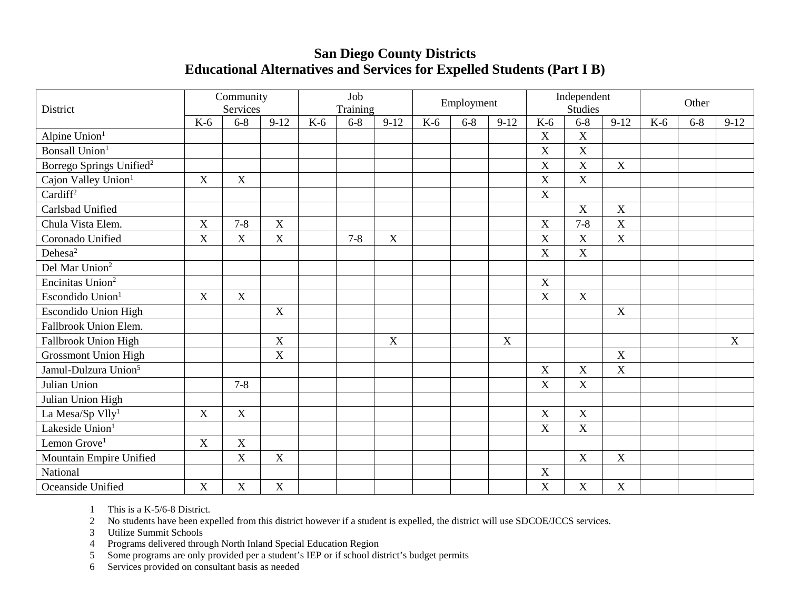## **San Diego County Districts Educational Alternatives and Services for Expelled Students (Part I B)**

| District                             |             | Community<br>Services     |                  |       | Job<br>Training |                           |       | Employment |        |             | Independent<br><b>Studies</b> |                           |       | Other   |        |
|--------------------------------------|-------------|---------------------------|------------------|-------|-----------------|---------------------------|-------|------------|--------|-------------|-------------------------------|---------------------------|-------|---------|--------|
|                                      | $K-6$       | $6 - 8$                   | $9-12$           | $K-6$ | $6 - 8$         | $9-12$                    | $K-6$ | $6 - 8$    | $9-12$ | $K-6$       | $6 - 8$                       | $9 - 12$                  | $K-6$ | $6 - 8$ | $9-12$ |
| Alpine Union <sup>1</sup>            |             |                           |                  |       |                 |                           |       |            |        | $\mathbf X$ | $\mathbf X$                   |                           |       |         |        |
| Bonsall Union <sup>1</sup>           |             |                           |                  |       |                 |                           |       |            |        | X           | X                             |                           |       |         |        |
| Borrego Springs Unified <sup>2</sup> |             |                           |                  |       |                 |                           |       |            |        | $\mathbf X$ | $\mathbf X$                   | $\boldsymbol{X}$          |       |         |        |
| Cajon Valley Union <sup>1</sup>      | X           | X                         |                  |       |                 |                           |       |            |        | X           | $\mathbf X$                   |                           |       |         |        |
| Cardiff <sup>2</sup>                 |             |                           |                  |       |                 |                           |       |            |        | X           |                               |                           |       |         |        |
| Carlsbad Unified                     |             |                           |                  |       |                 |                           |       |            |        |             | $\mathbf X$                   | $\boldsymbol{X}$          |       |         |        |
| Chula Vista Elem.                    | X           | $7 - 8$                   | $\boldsymbol{X}$ |       |                 |                           |       |            |        | X           | $7 - 8$                       | $\mathbf X$               |       |         |        |
| Coronado Unified                     | X           | X                         | $\mathbf X$      |       | $7 - 8$         | $\boldsymbol{\mathrm{X}}$ |       |            |        | $\mathbf X$ | $\mathbf X$                   | $\boldsymbol{X}$          |       |         |        |
| Dehesa <sup>2</sup>                  |             |                           |                  |       |                 |                           |       |            |        | X           | X                             |                           |       |         |        |
| Del Mar Union <sup>2</sup>           |             |                           |                  |       |                 |                           |       |            |        |             |                               |                           |       |         |        |
| Encinitas Union <sup>2</sup>         |             |                           |                  |       |                 |                           |       |            |        | X           |                               |                           |       |         |        |
| Escondido Union <sup>1</sup>         | $\mathbf X$ | $\boldsymbol{\mathrm{X}}$ |                  |       |                 |                           |       |            |        | X           | $\mathbf X$                   |                           |       |         |        |
| <b>Escondido Union High</b>          |             |                           | X                |       |                 |                           |       |            |        |             |                               | X                         |       |         |        |
| Fallbrook Union Elem.                |             |                           |                  |       |                 |                           |       |            |        |             |                               |                           |       |         |        |
| Fallbrook Union High                 |             |                           | $\boldsymbol{X}$ |       |                 | X                         |       |            | X      |             |                               |                           |       |         | X      |
| <b>Grossmont Union High</b>          |             |                           | X                |       |                 |                           |       |            |        |             |                               | $\boldsymbol{\mathrm{X}}$ |       |         |        |
| Jamul-Dulzura Union <sup>5</sup>     |             |                           |                  |       |                 |                           |       |            |        | X           | X                             | X                         |       |         |        |
| Julian Union                         |             | $7 - 8$                   |                  |       |                 |                           |       |            |        | $\mathbf X$ | X                             |                           |       |         |        |
| Julian Union High                    |             |                           |                  |       |                 |                           |       |            |        |             |                               |                           |       |         |        |
| La Mesa/Sp Vlly <sup>1</sup>         | X           | X                         |                  |       |                 |                           |       |            |        | X           | X                             |                           |       |         |        |
| Lakeside Union <sup>1</sup>          |             |                           |                  |       |                 |                           |       |            |        | X           | X                             |                           |       |         |        |
| Lemon Grove <sup>1</sup>             | $\mathbf X$ | $\boldsymbol{\mathrm{X}}$ |                  |       |                 |                           |       |            |        |             |                               |                           |       |         |        |
| Mountain Empire Unified              |             | X                         | X                |       |                 |                           |       |            |        |             | $\boldsymbol{X}$              | $\mathbf X$               |       |         |        |
| National                             |             |                           |                  |       |                 |                           |       |            |        | X           |                               |                           |       |         |        |
| Oceanside Unified                    | X           | $\boldsymbol{\mathrm{X}}$ | $\mathbf X$      |       |                 |                           |       |            |        | X           | $\mathbf X$                   | X                         |       |         |        |

1 This is a K-5/6-8 District.

2 No students have been expelled from this district however if a student is expelled, the district will use SDCOE/JCCS services.

3 Utilize Summit Schools

4 Programs delivered through North Inland Special Education Region

5 Some programs are only provided per a student's IEP or if school district's budget permits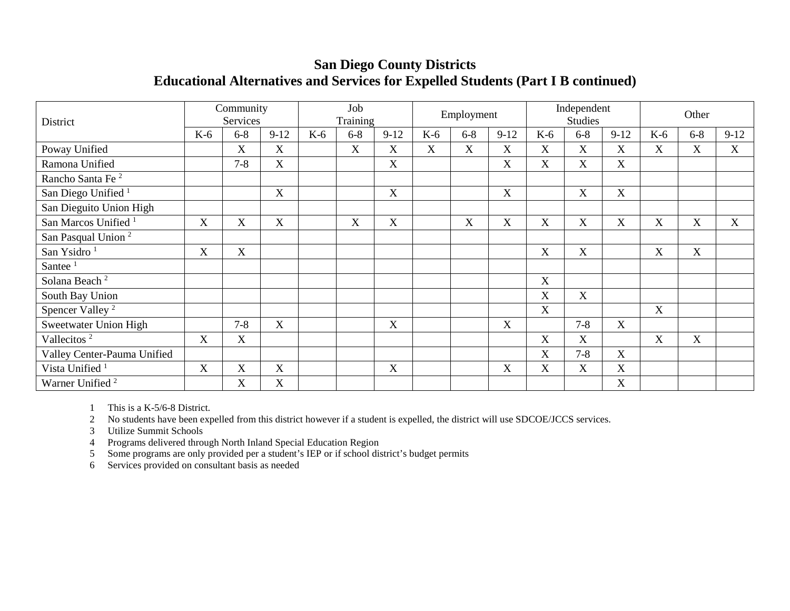## **San Diego County Districts Educational Alternatives and Services for Expelled Students (Part I B continued)**

| District                        |       | Community<br>Services |             |       | Job<br>Training |                           |       | Employment |             |             | Independent<br><b>Studies</b> |                  |             | Other                     |                  |
|---------------------------------|-------|-----------------------|-------------|-------|-----------------|---------------------------|-------|------------|-------------|-------------|-------------------------------|------------------|-------------|---------------------------|------------------|
|                                 | $K-6$ | $6 - 8$               | $9-12$      | $K-6$ | $6 - 8$         | $9-12$                    | $K-6$ | $6 - 8$    | $9-12$      | $K-6$       | $6 - 8$                       | $9 - 12$         | K-6         | $6 - 8$                   | $9-12$           |
| Poway Unified                   |       | X                     | X           |       | X               | X                         | X     | X          | X           | X           | X                             | X                | X           | $\mathbf X$               | $\boldsymbol{X}$ |
| Ramona Unified                  |       | $7 - 8$               | X           |       |                 | $\boldsymbol{\mathrm{X}}$ |       |            | $\mathbf X$ | $\mathbf X$ | X                             | $\mathbf X$      |             |                           |                  |
| Rancho Santa Fe <sup>2</sup>    |       |                       |             |       |                 |                           |       |            |             |             |                               |                  |             |                           |                  |
| San Diego Unified <sup>1</sup>  |       |                       | X           |       |                 | X                         |       |            | X           |             | X                             | X                |             |                           |                  |
| San Dieguito Union High         |       |                       |             |       |                 |                           |       |            |             |             |                               |                  |             |                           |                  |
| San Marcos Unified <sup>1</sup> | X     | X                     | $\mathbf X$ |       | X               | X                         |       | X          | X           | X           | X                             | $\boldsymbol{X}$ | X           | $\boldsymbol{\mathrm{X}}$ | X                |
| San Pasqual Union <sup>2</sup>  |       |                       |             |       |                 |                           |       |            |             |             |                               |                  |             |                           |                  |
| San Ysidro <sup>1</sup>         | X     | X                     |             |       |                 |                           |       |            |             | $\mathbf X$ | $\boldsymbol{\mathrm{X}}$     |                  | $\mathbf X$ | $\boldsymbol{\mathrm{X}}$ |                  |
| Santee <sup>1</sup>             |       |                       |             |       |                 |                           |       |            |             |             |                               |                  |             |                           |                  |
| Solana Beach <sup>2</sup>       |       |                       |             |       |                 |                           |       |            |             | X           |                               |                  |             |                           |                  |
| South Bay Union                 |       |                       |             |       |                 |                           |       |            |             | X           | X                             |                  |             |                           |                  |
| Spencer Valley <sup>2</sup>     |       |                       |             |       |                 |                           |       |            |             | X           |                               |                  | X           |                           |                  |
| Sweetwater Union High           |       | $7 - 8$               | X           |       |                 | X                         |       |            | X           |             | $7 - 8$                       | X                |             |                           |                  |
| Vallecitos <sup>2</sup>         | X     | X                     |             |       |                 |                           |       |            |             | X           | X                             |                  | X           | X                         |                  |
| Valley Center-Pauma Unified     |       |                       |             |       |                 |                           |       |            |             | X           | $7 - 8$                       | $\mathbf X$      |             |                           |                  |
| Vista Unified                   | X     | X                     | $\mathbf X$ |       |                 | X                         |       |            | $\mathbf X$ | X           | X                             | $\mathbf X$      |             |                           |                  |
| Warner Unified <sup>2</sup>     |       | X                     | X           |       |                 |                           |       |            |             |             |                               | X                |             |                           |                  |

1 This is a K-5/6-8 District.

2 No students have been expelled from this district however if a student is expelled, the district will use SDCOE/JCCS services.

3 Utilize Summit Schools

4 Programs delivered through North Inland Special Education Region

5 Some programs are only provided per a student's IEP or if school district's budget permits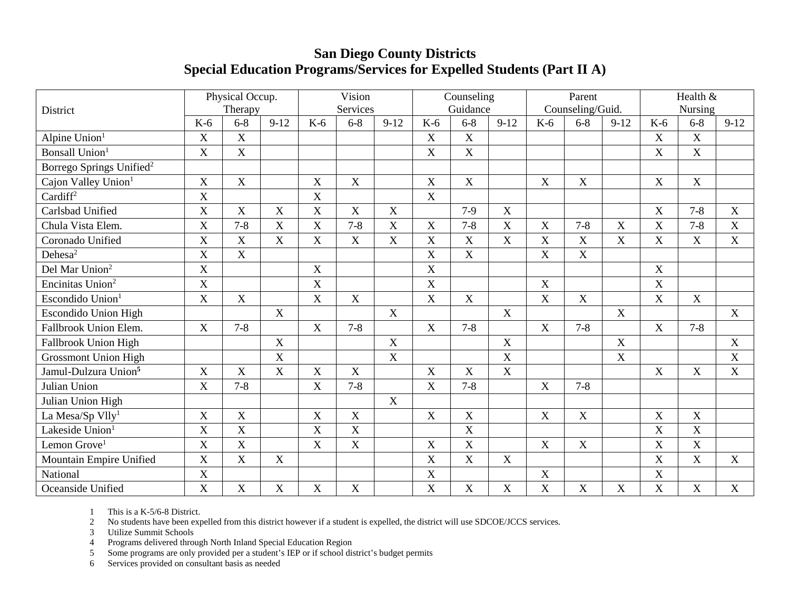## **San Diego County Districts Special Education Programs/Services for Expelled Students (Part II A)**

|                                      |             | Physical Occup.<br>Therapy |             |             | Vision<br>Services        |                           |                           | Counseling<br>Guidance |             |             | Parent<br>Counseling/Guid. |                           |                  | Health &<br>Nursing |             |
|--------------------------------------|-------------|----------------------------|-------------|-------------|---------------------------|---------------------------|---------------------------|------------------------|-------------|-------------|----------------------------|---------------------------|------------------|---------------------|-------------|
| District                             | $K-6$       | $6 - 8$                    | $9-12$      | $K-6$       | $6 - 8$                   | $9-12$                    | $K-6$                     | $6 - 8$                | $9-12$      | $K-6$       | $6 - 8$                    | $9-12$                    | $K-6$            | $6 - 8$             | $9-12$      |
| Alpine Union <sup>1</sup>            | X           | X                          |             |             |                           |                           | X                         | $\mathbf X$            |             |             |                            |                           | X                | $\mathbf X$         |             |
| <b>Bonsall Union</b>                 | X           | X                          |             |             |                           |                           | $\overline{X}$            | $\mathbf X$            |             |             |                            |                           | X                | $\mathbf X$         |             |
| Borrego Springs Unified <sup>2</sup> |             |                            |             |             |                           |                           |                           |                        |             |             |                            |                           |                  |                     |             |
| Cajon Valley Union <sup>1</sup>      | $\mathbf X$ | $\mathbf X$                |             | $\mathbf X$ | $\mathbf X$               |                           | $\boldsymbol{X}$          | $\mathbf X$            |             | $\mathbf X$ | $\mathbf X$                |                           | $\mathbf X$      | $\mathbf X$         |             |
| Cardiff <sup>2</sup>                 | X           |                            |             | X           |                           |                           | X                         |                        |             |             |                            |                           |                  |                     |             |
| Carlsbad Unified                     | X           | $\mathbf X$                | X           | $\mathbf X$ | $\boldsymbol{\mathrm{X}}$ | $\boldsymbol{\mathrm{X}}$ |                           | $7-9$                  | $\mathbf X$ |             |                            |                           | X                | $7 - 8$             | X           |
| Chula Vista Elem.                    | X           | $7 - 8$                    | X           | X           | $7 - 8$                   | X                         | X                         | $7 - 8$                | $\mathbf X$ | X           | $7 - 8$                    | X                         | X                | $7 - 8$             | X           |
| Coronado Unified                     | X           | X                          | X           | $\mathbf X$ | $\mathbf X$               | $\mathbf X$               | X                         | X                      | $\mathbf X$ | X           | X                          | X                         | X                | X                   | X           |
| Dehesa <sup>2</sup>                  | X           | $\mathbf X$                |             |             |                           |                           | $\mathbf X$               | $\mathbf X$            |             | $\mathbf X$ | $\mathbf X$                |                           |                  |                     |             |
| Del Mar Union <sup>2</sup>           | X           |                            |             | $\mathbf X$ |                           |                           | $\boldsymbol{\mathrm{X}}$ |                        |             |             |                            |                           | X                |                     |             |
| Encinitas Union <sup>2</sup>         | X           |                            |             | $\mathbf X$ |                           |                           | $\mathbf X$               |                        |             | X           |                            |                           | $\mathbf X$      |                     |             |
| Escondido Union <sup>1</sup>         | X           | $\mathbf X$                |             | $\mathbf X$ | $\mathbf X$               |                           | $\mathbf X$               | $\mathbf X$            |             | $\mathbf X$ | $\mathbf X$                |                           | $\mathbf X$      | X                   |             |
| <b>Escondido Union High</b>          |             |                            | X           |             |                           | X                         |                           |                        | $\mathbf X$ |             |                            | X                         |                  |                     | X           |
| Fallbrook Union Elem.                | $\mathbf X$ | $7 - 8$                    |             | $\mathbf X$ | $7 - 8$                   |                           | $\mathbf X$               | $7 - 8$                |             | X           | $7 - 8$                    |                           | $\boldsymbol{X}$ | $7 - 8$             |             |
| Fallbrook Union High                 |             |                            | X           |             |                           | $\boldsymbol{\mathrm{X}}$ |                           |                        | $\mathbf X$ |             |                            | X                         |                  |                     | $\mathbf X$ |
| <b>Grossmont Union High</b>          |             |                            | $\mathbf X$ |             |                           | $\mathbf X$               |                           |                        | $\mathbf X$ |             |                            | $\boldsymbol{\mathrm{X}}$ |                  |                     | $\mathbf X$ |
| Jamul-Dulzura Union <sup>5</sup>     | X           | X                          | X           | $\mathbf X$ | $\mathbf X$               |                           | $\mathbf X$               | X                      | $\mathbf X$ |             |                            |                           | X                | X                   | X           |
| Julian Union                         | X           | $7 - 8$                    |             | X           | $7 - 8$                   |                           | X                         | $7 - 8$                |             | X           | $7 - 8$                    |                           |                  |                     |             |
| Julian Union High                    |             |                            |             |             |                           | $\mathbf X$               |                           |                        |             |             |                            |                           |                  |                     |             |
| La Mesa/Sp Vlly <sup>1</sup>         | X           | X                          |             | $\mathbf X$ | $\mathbf X$               |                           | $\mathbf X$               | $\mathbf X$            |             | X           | X                          |                           | $\mathbf X$      | $\mathbf X$         |             |
| Lakeside Union <sup>1</sup>          | X           | X                          |             | $\mathbf X$ | $\mathbf X$               |                           |                           | $\mathbf X$            |             |             |                            |                           | $\mathbf X$      | $\mathbf X$         |             |
| Lemon Grove <sup>1</sup>             | X           | X                          |             | $\mathbf X$ | $\mathbf X$               |                           | $\boldsymbol{X}$          | X                      |             | $\mathbf X$ | $\mathbf X$                |                           | $\boldsymbol{X}$ | $\mathbf X$         |             |
| Mountain Empire Unified              | X           | X                          | $\mathbf X$ |             |                           |                           | X                         | X                      | $\mathbf X$ |             |                            |                           | $\boldsymbol{X}$ | $\mathbf X$         | $\mathbf X$ |
| National                             | X           |                            |             |             |                           |                           | $\mathbf X$               |                        |             | X           |                            |                           | $\mathbf X$      |                     |             |
| Oceanside Unified                    | X           | X                          | X           | $\mathbf X$ | $\mathbf X$               |                           | X                         | $\mathbf X$            | X           | X           | X                          | $\mathbf X$               | $\mathbf X$      | $\mathbf X$         | $\mathbf X$ |

1 This is a K-5/6-8 District.

2 No students have been expelled from this district however if a student is expelled, the district will use SDCOE/JCCS services.

3 Utilize Summit Schools

4 Programs delivered through North Inland Special Education Region<br>5 Some programs are only provided per a student's IEP or if school dis

5 Some programs are only provided per a student's IEP or if school district's budget permits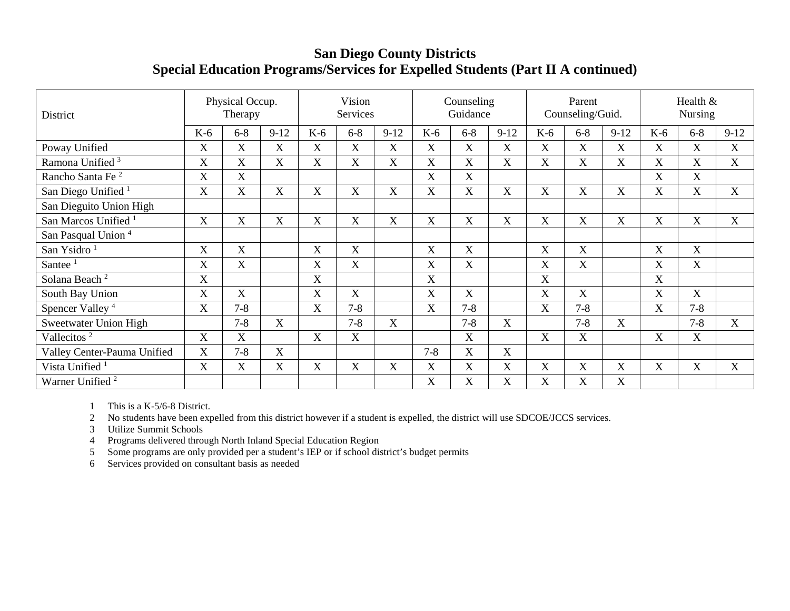## **San Diego County Districts Special Education Programs/Services for Expelled Students (Part II A continued)**

| District                        |             | Physical Occup.<br>Therapy |                       |       | Vision<br>Services    |                           |         | Counseling<br>Guidance    |        |                           | Parent<br>Counseling/Guid. |          |                           | Health &<br><b>Nursing</b> |        |
|---------------------------------|-------------|----------------------------|-----------------------|-------|-----------------------|---------------------------|---------|---------------------------|--------|---------------------------|----------------------------|----------|---------------------------|----------------------------|--------|
|                                 | $K-6$       | $6 - 8$                    | $9-12$                | $K-6$ | $6-8$                 | $9-12$                    | $K-6$   | $6 - 8$                   | $9-12$ | $K-6$                     | $6 - 8$                    | $9 - 12$ | $K-6$                     | $6 - 8$                    | $9-12$ |
| Poway Unified                   | X           | X                          | $\overline{\text{X}}$ | X     | X                     | $\boldsymbol{\mathrm{X}}$ | X       | $\boldsymbol{\mathrm{X}}$ | X      | X                         | $\overline{X}$             | X        | X                         | X                          | X      |
| Ramona Unified <sup>3</sup>     | $\mathbf X$ | X                          | $\overline{X}$        | X     | $\overline{\text{X}}$ | $\overline{\text{X}}$     | X       | $\boldsymbol{\mathrm{X}}$ | X      | X                         | X                          | X        | X                         | X                          | X      |
| Rancho Santa Fe <sup>2</sup>    | X           | X                          |                       |       |                       |                           | X       | X                         |        |                           |                            |          | $\mathbf X$               | X                          |        |
| San Diego Unified <sup>1</sup>  | $\mathbf X$ | X                          | X                     | X     | X                     | X                         | X       | X                         | X      | X                         | X                          | X        | X                         | X                          | X      |
| San Dieguito Union High         |             |                            |                       |       |                       |                           |         |                           |        |                           |                            |          |                           |                            |        |
| San Marcos Unified <sup>1</sup> | X           | X                          | X                     | X     | $\mathbf X$           | $\boldsymbol{\mathrm{X}}$ | X       | X                         | X      | $\boldsymbol{\mathrm{X}}$ | X                          | X        | X                         | X                          | X      |
| San Pasqual Union <sup>4</sup>  |             |                            |                       |       |                       |                           |         |                           |        |                           |                            |          |                           |                            |        |
| San Ysidro <sup>1</sup>         | X           | X                          |                       | X     | $\mathbf X$           |                           | X       | X                         |        | $\boldsymbol{\mathrm{X}}$ | X                          |          | $\mathbf X$               | X                          |        |
| Santee $1$                      | $\mathbf X$ | X                          |                       | X     | X                     |                           | X       | X                         |        | $\mathbf X$               | X                          |          | $\boldsymbol{\mathrm{X}}$ | X                          |        |
| Solana Beach <sup>2</sup>       | X           |                            |                       | X     |                       |                           | X       |                           |        | X                         |                            |          | X                         |                            |        |
| South Bay Union                 | $\mathbf X$ | X                          |                       | X     | $\mathbf X$           |                           | X       | X                         |        | $\boldsymbol{\mathrm{X}}$ | X                          |          | $\mathbf X$               | X                          |        |
| Spencer Valley <sup>4</sup>     | X           | $7 - 8$                    |                       | X     | $7 - 8$               |                           | X       | $7 - 8$                   |        | X                         | $7 - 8$                    |          | X                         | $7 - 8$                    |        |
| Sweetwater Union High           |             | $7 - 8$                    | X                     |       | $7 - 8$               | $\overline{X}$            |         | $7 - 8$                   | X      |                           | $7 - 8$                    | X        |                           | $7 - 8$                    | X      |
| Vallecitos <sup>2</sup>         | X           | X                          |                       | X     | X                     |                           |         | X                         |        | X                         | X                          |          | X                         | X                          |        |
| Valley Center-Pauma Unified     | $\mathbf X$ | $7 - 8$                    | X                     |       |                       |                           | $7 - 8$ | X                         | X      |                           |                            |          |                           |                            |        |
| Vista Unified <sup>1</sup>      | X           | X                          | X                     | X     | X                     | X                         | X       | X                         | X      | $\boldsymbol{\mathrm{X}}$ | X                          | X        | X                         | X                          | X      |
| Warner Unified <sup>2</sup>     |             |                            |                       |       |                       |                           | X       | X                         | X      | X                         | X                          | X        |                           |                            |        |

1 This is a K-5/6-8 District.

2 No students have been expelled from this district however if a student is expelled, the district will use SDCOE/JCCS services.

3 Utilize Summit Schools

4 Programs delivered through North Inland Special Education Region

5 Some programs are only provided per a student's IEP or if school district's budget permits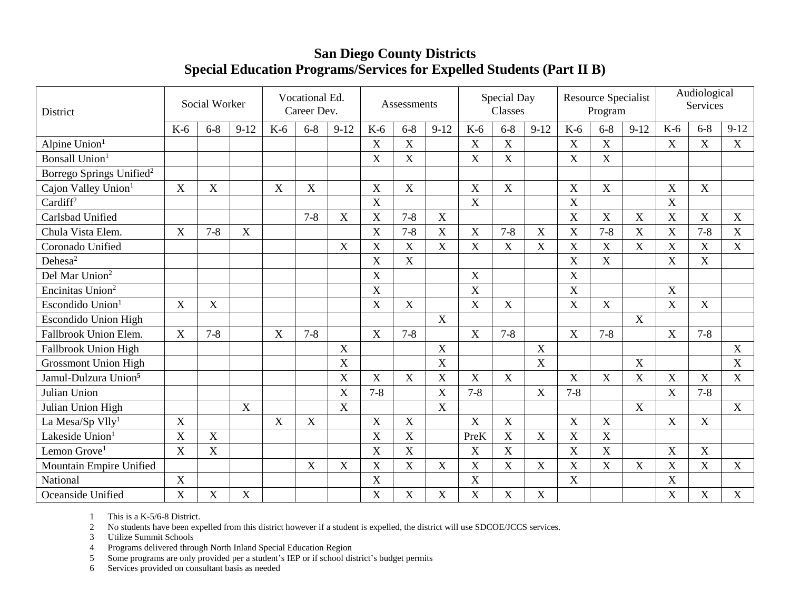## **San Diego County Districts Special Education Programs/Services for Expelled Students (Part II B)**

| District                             |                           | Social Worker  |             |                           | Vocational Ed.<br>Career Dev. |             |             | Assessments               |                |                  | Special Day<br>Classes |                           |                           | <b>Resource Specialist</b><br>Program |        |                | Audiological<br><b>Services</b> |             |
|--------------------------------------|---------------------------|----------------|-------------|---------------------------|-------------------------------|-------------|-------------|---------------------------|----------------|------------------|------------------------|---------------------------|---------------------------|---------------------------------------|--------|----------------|---------------------------------|-------------|
|                                      | $K-6$                     | $6 - 8$        | $9 - 12$    | $K-6$                     | $6 - 8$                       | $9-12$      | $K-6$       | $6 - 8$                   | $9-12$         | $K-6$            | $6 - 8$                | $9-12$                    | $K-6$                     | $6 - 8$                               | $9-12$ | $K-6$          | $6 - 8$                         | $9-12$      |
| Alpine Union <sup>1</sup>            |                           |                |             |                           |                               |             | $\mathbf X$ | $\mathbf X$               |                | $\boldsymbol{X}$ | $\mathbf X$            |                           | $\mathbf X$               | $\mathbf X$                           |        | $\mathbf X$    | $\mathbf X$                     | X           |
| <b>Bonsall Union</b>                 |                           |                |             |                           |                               |             | X           | X                         |                | X                | $\mathbf X$            |                           | $\boldsymbol{\mathrm{X}}$ | $\mathbf X$                           |        |                |                                 |             |
| Borrego Springs Unified <sup>2</sup> |                           |                |             |                           |                               |             |             |                           |                |                  |                        |                           |                           |                                       |        |                |                                 |             |
| Cajon Valley Union <sup>1</sup>      | $\boldsymbol{\mathrm{X}}$ | $\mathbf X$    |             | $\boldsymbol{\mathrm{X}}$ | $\boldsymbol{X}$              |             | X           | $\mathbf X$               |                | X                | $\mathbf X$            |                           | $\boldsymbol{\mathrm{X}}$ | $\mathbf X$                           |        | X              | X                               |             |
| Cardiff <sup>2</sup>                 |                           |                |             |                           |                               |             | X           |                           |                | X                |                        |                           | X                         |                                       |        | $\mathbf X$    |                                 |             |
| Carlsbad Unified                     |                           |                |             |                           | $7 - 8$                       | X           | X           | $7 - 8$                   | X              |                  |                        |                           | $\mathbf X$               | X                                     | X      | $\mathbf X$    | X                               | X           |
| Chula Vista Elem.                    | X                         | $7 - 8$        | $\mathbf X$ |                           |                               |             | X           | $7 - 8$                   | $\mathbf X$    | X                | $7 - 8$                | X                         | $\boldsymbol{\mathrm{X}}$ | $7 - 8$                               | X      | $\mathbf X$    | $7 - 8$                         | X           |
| Coronado Unified                     |                           |                |             |                           |                               | $\mathbf X$ | X           | $\boldsymbol{\mathrm{X}}$ | X              | X                | $\mathbf X$            | $\mathbf X$               | X                         | $\mathbf X$                           | X      | $\overline{X}$ | X                               | $\mathbf X$ |
| Dehesa <sup>2</sup>                  |                           |                |             |                           |                               |             | X           | X                         |                |                  |                        |                           | $\mathbf X$               | X                                     |        | $\mathbf X$    | $\mathbf X$                     |             |
| Del Mar Union <sup>2</sup>           |                           |                |             |                           |                               |             | X           |                           |                | X                |                        |                           | $\boldsymbol{X}$          |                                       |        |                |                                 |             |
| Encinitas Union <sup>2</sup>         |                           |                |             |                           |                               |             | X           |                           |                | X                |                        |                           | $\mathbf X$               |                                       |        | X              |                                 |             |
| Escondido Union <sup>1</sup>         | $\boldsymbol{\mathrm{X}}$ | $\mathbf X$    |             |                           |                               |             | X           | $\mathbf X$               |                | $\overline{X}$   | $\mathbf X$            |                           | X                         | $\mathbf X$                           |        | $\overline{X}$ | $\mathbf X$                     |             |
| <b>Escondido Union High</b>          |                           |                |             |                           |                               |             |             |                           | X              |                  |                        |                           |                           |                                       | X      |                |                                 |             |
| Fallbrook Union Elem.                | $\boldsymbol{\mathrm{X}}$ | $7 - 8$        |             | X                         | $7 - 8$                       |             | $\mathbf X$ | $7 - 8$                   |                | X                | $7 - 8$                |                           | $\mathbf X$               | $7 - 8$                               |        | X              | $7 - 8$                         |             |
| Fallbrook Union High                 |                           |                |             |                           |                               | $\mathbf X$ |             |                           | $\mathbf X$    |                  |                        | $\boldsymbol{\mathrm{X}}$ |                           |                                       |        |                |                                 | $\mathbf X$ |
| <b>Grossmont Union High</b>          |                           |                |             |                           |                               | $\mathbf X$ |             |                           | X              |                  |                        | X                         |                           |                                       | X      |                |                                 | X           |
| Jamul-Dulzura Union <sup>5</sup>     |                           |                |             |                           |                               | X           | X           | X                         | X              | X                | $\mathbf X$            |                           | $\boldsymbol{X}$          | X                                     | X      | $\mathbf X$    | $\boldsymbol{\mathrm{X}}$       | X           |
| Julian Union                         |                           |                |             |                           |                               | X           | $7 - 8$     |                           | $\overline{X}$ | $7 - 8$          |                        | $\mathbf X$               | $7 - 8$                   |                                       |        | $\mathbf X$    | $7 - 8$                         |             |
| Julian Union High                    |                           |                | $\mathbf X$ |                           |                               | $\mathbf X$ |             |                           | $\mathbf X$    |                  |                        |                           |                           |                                       | X      |                |                                 | X           |
| La Mesa/Sp $Vlly1$                   | $\boldsymbol{\mathrm{X}}$ |                |             | X                         | X                             |             | X           | X                         |                | X                | X                      |                           | X                         | $\mathbf X$                           |        | $\mathbf X$    | X                               |             |
| Lakeside Union <sup>1</sup>          | X                         | X              |             |                           |                               |             | X           | X                         |                | PreK             | X                      | $\mathbf X$               | X                         | X                                     |        |                |                                 |             |
| Lemon Grove <sup>1</sup>             | X                         | $\overline{X}$ |             |                           |                               |             | X           | $\boldsymbol{\mathrm{X}}$ |                | X                | X                      |                           | $\boldsymbol{\mathrm{X}}$ | $\mathbf X$                           |        | $\mathbf X$    | X                               |             |
| Mountain Empire Unified              |                           |                |             |                           | X                             | X           | X           | $\mathbf X$               | $\mathbf X$    | X                | X                      | $\boldsymbol{\mathrm{X}}$ | X                         | $\mathbf X$                           | X      | $\mathbf X$    | X                               | X           |
| National                             | X                         |                |             |                           |                               |             | X           |                           |                | X                |                        |                           | X                         |                                       |        | $\mathbf X$    |                                 |             |
| Oceanside Unified                    | X                         | $\mathbf X$    | X           |                           |                               |             | X           | $\mathbf X$               | X              | X                | X                      | $\boldsymbol{\mathrm{X}}$ |                           |                                       |        | X              | $\boldsymbol{\mathrm{X}}$       | X           |

1 This is a K-5/6-8 District.

2 No students have been expelled from this district however if a student is expelled, the district will use SDCOE/JCCS services.

3 Utilize Summit Schools

4 Programs delivered through North Inland Special Education Region

5 Some programs are only provided per a student's IEP or if school district's budget permits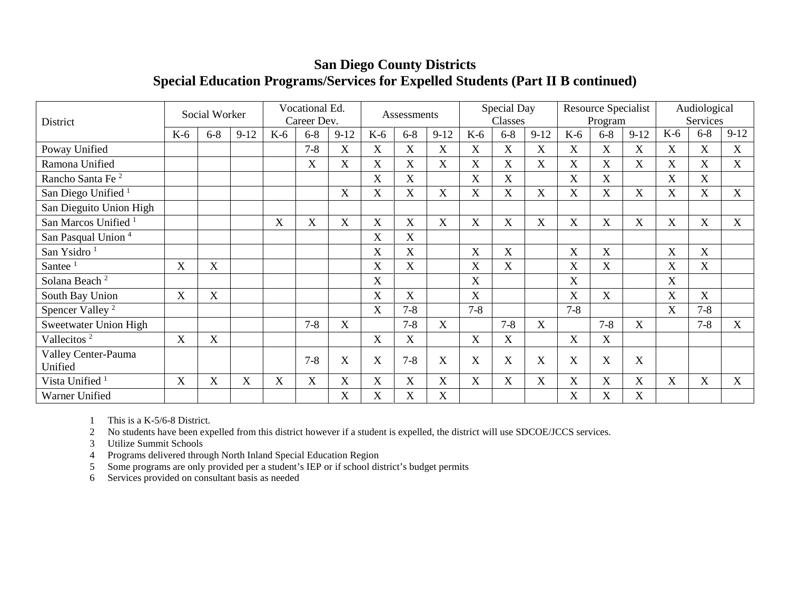## **San Diego County Districts Special Education Programs/Services for Expelled Students (Part II B continued)**

| District                        |             | Social Worker             |        |       | Vocational Ed.<br>Career Dev. |                           |       | Assessments               |             |             | Special Day<br>Classes    |             |             | Resource Specialist<br>Program |        |                           | Audiological<br>Services |        |
|---------------------------------|-------------|---------------------------|--------|-------|-------------------------------|---------------------------|-------|---------------------------|-------------|-------------|---------------------------|-------------|-------------|--------------------------------|--------|---------------------------|--------------------------|--------|
|                                 | $K-6$       | $6 - 8$                   | $9-12$ | $K-6$ | $6 - 8$                       | $9-12$                    | $K-6$ | $6 - 8$                   | $9-12$      | $K-6$       | $6 - 8$                   | $9 - 12$    | $K-6$       | $6 - 8$                        | $9-12$ | $K-6$                     | $6 - 8$                  | $9-12$ |
| Poway Unified                   |             |                           |        |       | $7 - 8$                       | $\mathbf X$               | X     | X                         | X           | $\mathbf X$ | X                         | X           | $\mathbf X$ | $\boldsymbol{X}$               | X      | X                         | X                        | X      |
| Ramona Unified                  |             |                           |        |       | X                             | $\boldsymbol{\mathrm{X}}$ | X     | X                         | X           | X           | X                         | $\mathbf X$ | X           | $\boldsymbol{X}$               | X      | $\boldsymbol{\mathrm{X}}$ | X                        | X      |
| Rancho Santa Fe <sup>2</sup>    |             |                           |        |       |                               |                           | X     | X                         |             | X           | $\overline{X}$            |             | $\mathbf X$ | X                              |        | $\boldsymbol{X}$          | X                        |        |
| San Diego Unified <sup>1</sup>  |             |                           |        |       |                               | $\boldsymbol{\mathrm{X}}$ | X     | X                         | $\mathbf X$ | X           | $\boldsymbol{\mathrm{X}}$ | X           | $\mathbf X$ | $\boldsymbol{X}$               | X      | $\boldsymbol{\mathrm{X}}$ | X                        | X      |
| San Dieguito Union High         |             |                           |        |       |                               |                           |       |                           |             |             |                           |             |             |                                |        |                           |                          |        |
| San Marcos Unified <sup>1</sup> |             |                           |        | X     | $\boldsymbol{\mathrm{X}}$     | $\boldsymbol{\mathrm{X}}$ | X     | X                         | X           | X           | $\mathbf X$               | X           | X           | $\boldsymbol{X}$               | X      | $\mathbf X$               | $\mathbf X$              | X      |
| San Pasqual Union <sup>4</sup>  |             |                           |        |       |                               |                           | X     | X                         |             |             |                           |             |             |                                |        |                           |                          |        |
| San Ysidro <sup>1</sup>         |             |                           |        |       |                               |                           | X     | $\overline{\mathrm{X}}$   |             | X           | X                         |             | X           | X                              |        | X                         | X                        |        |
| Santee                          | $\mathbf X$ | $\mathbf X$               |        |       |                               |                           | X     | $\mathbf X$               |             | X           | X                         |             | $\mathbf X$ | $\boldsymbol{\mathrm{X}}$      |        | X                         | $\mathbf X$              |        |
| Solana Beach <sup>2</sup>       |             |                           |        |       |                               |                           | X     |                           |             | X           |                           |             | X           |                                |        | $\boldsymbol{\mathrm{X}}$ |                          |        |
| South Bay Union                 | $\mathbf X$ | X                         |        |       |                               |                           | X     | $\boldsymbol{\mathrm{X}}$ |             | $\mathbf X$ |                           |             | X           | $\boldsymbol{\mathrm{X}}$      |        | $\boldsymbol{\mathrm{X}}$ | $\boldsymbol{X}$         |        |
| Spencer Valley <sup>2</sup>     |             |                           |        |       |                               |                           | X     | $7 - 8$                   |             | $7 - 8$     |                           |             | $7 - 8$     |                                |        | X                         | $7 - 8$                  |        |
| Sweetwater Union High           |             |                           |        |       | $7 - 8$                       | $\boldsymbol{\mathrm{X}}$ |       | $7 - 8$                   | X           |             | $7 - 8$                   | X           |             | $7 - 8$                        | X      |                           | $7 - 8$                  | X      |
| Vallecitos <sup>2</sup>         | $\mathbf X$ | $\mathbf X$               |        |       |                               |                           | X     | X                         |             | X           | X                         |             | X           | $\boldsymbol{\mathrm{X}}$      |        |                           |                          |        |
| Valley Center-Pauma<br>Unified  |             |                           |        |       | $7 - 8$                       | X                         | X     | $7 - 8$                   | X           | X           | X                         | X           | X           | X                              | X      |                           |                          |        |
| Vista Unified <sup>1</sup>      | X           | $\boldsymbol{\mathrm{X}}$ | X      | X     | $\mathbf X$                   | X                         | X     | $\mathbf X$               | X           | $\mathbf X$ | X                         | X           | X           | $\boldsymbol{\mathrm{X}}$      | X      | $\boldsymbol{\mathrm{X}}$ | X                        | X      |
| Warner Unified                  |             |                           |        |       |                               | $\boldsymbol{\mathrm{X}}$ | X     | X                         | X           |             |                           |             | X           | X                              | X      |                           |                          |        |

1 This is a K-5/6-8 District.

2 No students have been expelled from this district however if a student is expelled, the district will use SDCOE/JCCS services.

3 Utilize Summit Schools

4 Programs delivered through North Inland Special Education Region

5 Some programs are only provided per a student's IEP or if school district's budget permits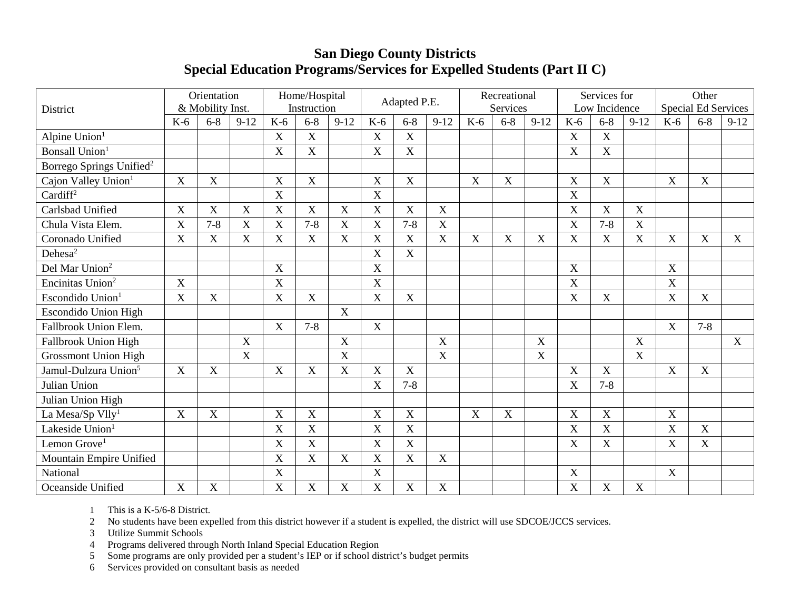## **San Diego County Districts Special Education Programs/Services for Expelled Students (Part II C)**

| District                             |                           | Orientation<br>& Mobility Inst. |             |                           | Home/Hospital<br>Instruction |                           |             | Adapted P.E.              |                           |                           | Recreational<br>Services  |             |                           | Services for<br>Low Incidence |             |                           | Other<br><b>Special Ed Services</b> |        |
|--------------------------------------|---------------------------|---------------------------------|-------------|---------------------------|------------------------------|---------------------------|-------------|---------------------------|---------------------------|---------------------------|---------------------------|-------------|---------------------------|-------------------------------|-------------|---------------------------|-------------------------------------|--------|
|                                      | $K-6$                     | $6 - 8$                         | $9 - 12$    | $K-6$                     | $6 - 8$                      | $9 - 12$                  | $K-6$       | $6 - 8$                   | $9-12$                    | $K-6$                     | $6 - 8$                   | $9 - 12$    | $K-6$                     | $6 - 8$                       | $9 - 12$    | $K-6$                     | $6 - 8$                             | $9-12$ |
| Alpine Union <sup>1</sup>            |                           |                                 |             | $\mathbf X$               | X                            |                           | $\mathbf X$ | $\mathbf X$               |                           |                           |                           |             | $\mathbf X$               | X                             |             |                           |                                     |        |
| Bonsall Union <sup>1</sup>           |                           |                                 |             | $\boldsymbol{\mathrm{X}}$ | X                            |                           | X           | X                         |                           |                           |                           |             | X                         | $\mathbf X$                   |             |                           |                                     |        |
| Borrego Springs Unified <sup>2</sup> |                           |                                 |             |                           |                              |                           |             |                           |                           |                           |                           |             |                           |                               |             |                           |                                     |        |
| Cajon Valley Union <sup>1</sup>      | X                         | $\mathbf X$                     |             | $\mathbf X$               | X                            |                           | X           | $\mathbf X$               |                           | $\mathbf X$               | $\boldsymbol{\mathrm{X}}$ |             | $\mathbf X$               | $\mathbf X$                   |             | X                         | $\mathbf X$                         |        |
| Cardiff <sup>2</sup>                 |                           |                                 |             | X                         |                              |                           | $\mathbf X$ |                           |                           |                           |                           |             | $\boldsymbol{\mathrm{X}}$ |                               |             |                           |                                     |        |
| Carlsbad Unified                     | $\mathbf X$               | $\mathbf X$                     | $\mathbf X$ | $\boldsymbol{\mathrm{X}}$ | $\mathbf X$                  | $\mathbf X$               | X           | $\mathbf X$               | X                         |                           |                           |             | $\mathbf X$               | $\boldsymbol{X}$              | $\mathbf X$ |                           |                                     |        |
| Chula Vista Elem.                    | $\boldsymbol{\mathrm{X}}$ | $7 - 8$                         | X           | X                         | $7 - 8$                      | $\mathbf X$               | X           | $7 - 8$                   | $\mathbf X$               |                           |                           |             | $\mathbf X$               | $7 - 8$                       | X           |                           |                                     |        |
| Coronado Unified                     | $\mathbf X$               | $\mathbf X$                     | X           | $\mathbf X$               | $\boldsymbol{X}$             | $\mathbf X$               | X           | $\boldsymbol{\mathrm{X}}$ | X                         | $\mathbf X$               | X                         | $\mathbf X$ | X                         | $\mathbf X$                   | $\mathbf X$ | X                         | X                                   | X      |
| Dehesa <sup>2</sup>                  |                           |                                 |             |                           |                              |                           | X           | X                         |                           |                           |                           |             |                           |                               |             |                           |                                     |        |
| Del Mar Union <sup>2</sup>           |                           |                                 |             | $\mathbf X$               |                              |                           | X           |                           |                           |                           |                           |             | $\mathbf X$               |                               |             | $\mathbf X$               |                                     |        |
| Encinitas Union <sup>2</sup>         | $\boldsymbol{X}$          |                                 |             | X                         |                              |                           | X           |                           |                           |                           |                           |             | X                         |                               |             | X                         |                                     |        |
| Escondido Union <sup>1</sup>         | X                         | X                               |             | X                         | X                            |                           | X           | X                         |                           |                           |                           |             | $\overline{X}$            | X                             |             | X                         | X                                   |        |
| <b>Escondido Union High</b>          |                           |                                 |             |                           |                              | $\mathbf X$               |             |                           |                           |                           |                           |             |                           |                               |             |                           |                                     |        |
| Fallbrook Union Elem.                |                           |                                 |             | X                         | $7 - 8$                      |                           | $\mathbf X$ |                           |                           |                           |                           |             |                           |                               |             | X                         | $7 - 8$                             |        |
| Fallbrook Union High                 |                           |                                 | X           |                           |                              | $\mathbf X$               |             |                           | X                         |                           |                           | X           |                           |                               | $\mathbf X$ |                           |                                     | X      |
| <b>Grossmont Union High</b>          |                           |                                 | $\mathbf X$ |                           |                              | $\mathbf X$               |             |                           | X                         |                           |                           | X           |                           |                               | $\mathbf X$ |                           |                                     |        |
| Jamul-Dulzura Union <sup>5</sup>     | $\boldsymbol{X}$          | X                               |             | $\mathbf X$               | X                            | $\boldsymbol{\mathrm{X}}$ | X           | X                         |                           |                           |                           |             | X                         | X                             |             | X                         | X                                   |        |
| Julian Union                         |                           |                                 |             |                           |                              |                           | X           | $7 - 8$                   |                           |                           |                           |             | $\mathbf X$               | $7 - 8$                       |             |                           |                                     |        |
| Julian Union High                    |                           |                                 |             |                           |                              |                           |             |                           |                           |                           |                           |             |                           |                               |             |                           |                                     |        |
| La Mesa/Sp Vlly <sup>1</sup>         | $\boldsymbol{X}$          | X                               |             | $\boldsymbol{\mathrm{X}}$ | X                            |                           | X           | X                         |                           | $\boldsymbol{\mathrm{X}}$ | X                         |             | X                         | $\mathbf X$                   |             | $\mathbf X$               |                                     |        |
| Lakeside Union <sup>1</sup>          |                           |                                 |             | X                         | X                            |                           | X           | $\mathbf X$               |                           |                           |                           |             | $\mathbf X$               | $\mathbf X$                   |             | $\boldsymbol{\mathrm{X}}$ | $\mathbf X$                         |        |
| Lemon Grove <sup>1</sup>             |                           |                                 |             | $\mathbf X$               | X                            |                           | X           | X                         |                           |                           |                           |             | X                         | X                             |             | X                         | X                                   |        |
| Mountain Empire Unified              |                           |                                 |             | $\mathbf X$               | X                            | $\mathbf X$               | X           | X                         | $\boldsymbol{X}$          |                           |                           |             |                           |                               |             |                           |                                     |        |
| National                             |                           |                                 |             | X                         |                              |                           | $\mathbf X$ |                           |                           |                           |                           |             | $\mathbf X$               |                               |             | X                         |                                     |        |
| Oceanside Unified                    | $\mathbf X$               | $\mathbf X$                     |             | X                         | $\mathbf X$                  | $\mathbf X$               | X           | $\mathbf X$               | $\boldsymbol{\mathrm{X}}$ |                           |                           |             | $\mathbf X$               | $\mathbf X$                   | $\mathbf X$ |                           |                                     |        |

1 This is a K-5/6-8 District.

2 No students have been expelled from this district however if a student is expelled, the district will use SDCOE/JCCS services.

3 Utilize Summit Schools

4 Programs delivered through North Inland Special Education Region<br>5 Some programs are only provided per a student's IEP or if school dis

5 Some programs are only provided per a student's IEP or if school district's budget permits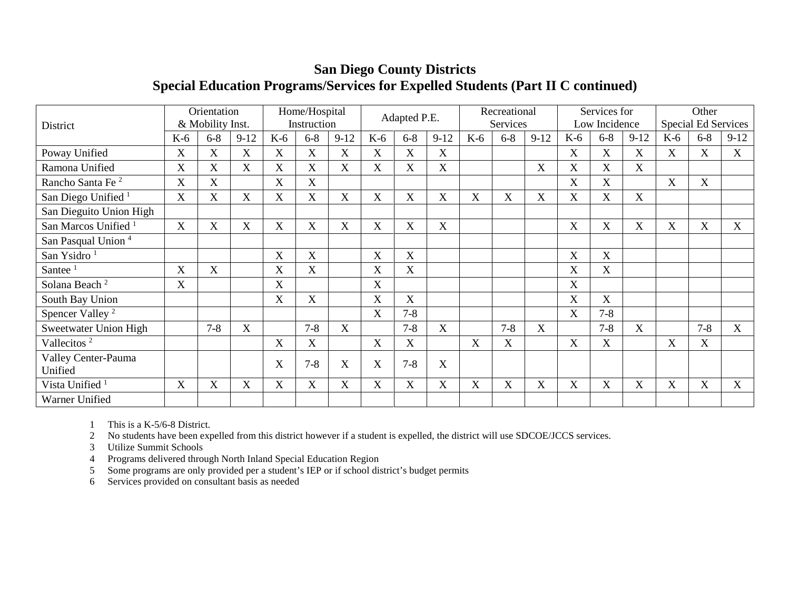|                                 |                       | Orientation      |             |                           | Home/Hospital |             |                           | Adapted P.E.              |                           |       | Recreational |        |                           | Services for          |        |             | Other                      |        |
|---------------------------------|-----------------------|------------------|-------------|---------------------------|---------------|-------------|---------------------------|---------------------------|---------------------------|-------|--------------|--------|---------------------------|-----------------------|--------|-------------|----------------------------|--------|
| District                        |                       | & Mobility Inst. |             |                           | Instruction   |             |                           |                           |                           |       | Services     |        |                           | Low Incidence         |        |             | <b>Special Ed Services</b> |        |
|                                 | $K-6$                 | $6 - 8$          | $9-12$      | $K-6$                     | $6 - 8$       | $9 - 12$    | $K-6$                     | $6 - 8$                   | $9-12$                    | $K-6$ | $6 - 8$      | $9-12$ | K-6                       | $6 - 8$               | $9-12$ | $K-6$       | $6 - 8$                    | $9-12$ |
| Poway Unified                   | X                     | $\mathbf X$      | $\mathbf X$ | X                         | $\mathbf X$   | X           | $\mathbf X$               | $\boldsymbol{\mathrm{X}}$ | $\boldsymbol{X}$          |       |              |        | $\boldsymbol{\mathrm{X}}$ | X                     | X      | X           | X                          | X      |
| Ramona Unified                  | X                     | X                | $\mathbf X$ | X                         | $\mathbf X$   | X           | X                         | X                         | $\boldsymbol{\mathrm{X}}$ |       |              | X      | X                         | X                     | X      |             |                            |        |
| Rancho Santa Fe <sup>2</sup>    | X                     | $\overline{X}$   |             | X                         | X             |             |                           |                           |                           |       |              |        | X                         | $\overline{\text{X}}$ |        | $\mathbf X$ | X                          |        |
| San Diego Unified <sup>1</sup>  | $\overline{\text{X}}$ | X                | X           | X                         | $\mathbf X$   | X           | $\boldsymbol{\mathrm{X}}$ | X                         | $\boldsymbol{\mathrm{X}}$ | X     | X            | X      | $\boldsymbol{\mathrm{X}}$ | X                     | X      |             |                            |        |
| San Dieguito Union High         |                       |                  |             |                           |               |             |                           |                           |                           |       |              |        |                           |                       |        |             |                            |        |
| San Marcos Unified <sup>1</sup> | $\mathbf X$           | X                | $\mathbf X$ | X                         | $\mathbf X$   | $\mathbf X$ | X                         | X                         | $\mathbf X$               |       |              |        | X                         | X                     | X      | $\mathbf X$ | X                          | X      |
| San Pasqual Union <sup>4</sup>  |                       |                  |             |                           |               |             |                           |                           |                           |       |              |        |                           |                       |        |             |                            |        |
| San Ysidro <sup>1</sup>         |                       |                  |             | $\boldsymbol{\mathrm{X}}$ | X             |             | X                         | X                         |                           |       |              |        | $\boldsymbol{\mathrm{X}}$ | X                     |        |             |                            |        |
| Santee $1$                      | X                     | X                |             | $\boldsymbol{\mathrm{X}}$ | $\mathbf X$   |             | X                         | X                         |                           |       |              |        | $\mathbf X$               | X                     |        |             |                            |        |
| Solana Beach <sup>2</sup>       | X                     |                  |             | X                         |               |             | X                         |                           |                           |       |              |        | X                         |                       |        |             |                            |        |
| South Bay Union                 |                       |                  |             | X                         | X             |             | X                         | X                         |                           |       |              |        | X                         | X                     |        |             |                            |        |
| Spencer Valley <sup>2</sup>     |                       |                  |             |                           |               |             | X                         | $7 - 8$                   |                           |       |              |        | $\mathbf X$               | $7 - 8$               |        |             |                            |        |
| Sweetwater Union High           |                       | $7 - 8$          | X           |                           | $7 - 8$       | X           |                           | $7 - 8$                   | X                         |       | $7 - 8$      | X      |                           | $7 - 8$               | X      |             | $7 - 8$                    | X      |
| Vallecitos <sup>2</sup>         |                       |                  |             | X                         | $\mathbf X$   |             | X                         | X                         |                           | X     | X            |        | $\boldsymbol{\mathrm{X}}$ | X                     |        | $\mathbf X$ | X                          |        |
| Valley Center-Pauma<br>Unified  |                       |                  |             | X                         | $7 - 8$       | X           | X                         | $7 - 8$                   | $\boldsymbol{X}$          |       |              |        |                           |                       |        |             |                            |        |
| Vista Unified <sup>1</sup>      | X                     | X                | X           | X                         | X             | X           | X                         | X                         | $\boldsymbol{\mathrm{X}}$ | X     | X            | X      | X                         | X                     | X      | X           | X                          | X      |
| <b>Warner Unified</b>           |                       |                  |             |                           |               |             |                           |                           |                           |       |              |        |                           |                       |        |             |                            |        |

## **San Diego County Districts Special Education Programs/Services for Expelled Students (Part II C continued)**

1 This is a K-5/6-8 District.

2 No students have been expelled from this district however if a student is expelled, the district will use SDCOE/JCCS services.

3 Utilize Summit Schools

4 Programs delivered through North Inland Special Education Region

5 Some programs are only provided per a student's IEP or if school district's budget permits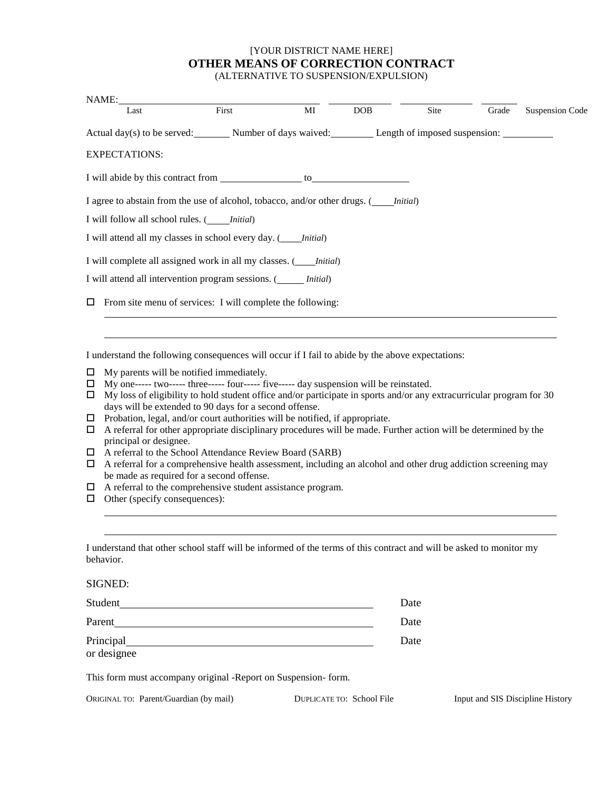#### [YOUR DISTRICT NAME HERE] **OTHER MEANS OF CORRECTION CONTRACT** (ALTERNATIVE TO SUSPENSION/EXPULSION)

| NAME:                                              |                                                                                             |    |            |      |       |                 |
|----------------------------------------------------|---------------------------------------------------------------------------------------------|----|------------|------|-------|-----------------|
| Last                                               | First                                                                                       | MI | <b>DOB</b> | Site | Grade | Suspension Code |
|                                                    | Actual day(s) to be served: Number of days waived: Length of imposed suspension:            |    |            |      |       |                 |
| <b>EXPECTATIONS:</b>                               |                                                                                             |    |            |      |       |                 |
|                                                    |                                                                                             |    |            |      |       |                 |
|                                                    | I agree to abstain from the use of alcohol, tobacco, and/or other drugs. ( <i>Initial</i> ) |    |            |      |       |                 |
| I will follow all school rules. ( <i>Initial</i> ) |                                                                                             |    |            |      |       |                 |
|                                                    | I will attend all my classes in school every day. ( <i>Initial</i> )                        |    |            |      |       |                 |
|                                                    | I will complete all assigned work in all my classes. ( <i>Initial</i> )                     |    |            |      |       |                 |
|                                                    | I will attend all intervention program sessions. ( <i>Initial</i> )                         |    |            |      |       |                 |
|                                                    | $\Box$ From site menu of services: I will complete the following:                           |    |            |      |       |                 |

I understand the following consequences will occur if I fail to abide by the above expectations:

- $\Box$  My parents will be notified immediately.
- My one----- two----- three----- four----- five----- day suspension will be reinstated.
- $\Box$  My loss of eligibility to hold student office and/or participate in sports and/or any extracurricular program for 30 days will be extended to 90 days for a second offense.
- $\Box$  Probation, legal, and/or court authorities will be notified, if appropriate.
- $\Box$  A referral for other appropriate disciplinary procedures will be made. Further action will be determined by the principal or designee.
- A referral to the School Attendance Review Board (SARB)
- $\Box$  A referral for a comprehensive health assessment, including an alcohol and other drug addiction screening may be made as required for a second offense.
- A referral to the comprehensive student assistance program.
- $\Box$  Other (specify consequences):

| I understand that other school staff will be informed of the terms of this contract and will be asked to monitor my |  |
|---------------------------------------------------------------------------------------------------------------------|--|
| behavior.                                                                                                           |  |

SIGNED:

| Student     | Date |
|-------------|------|
| Parent      | Date |
| Principal   | Date |
| or designee |      |

This form must accompany original -Report on Suspension- form.